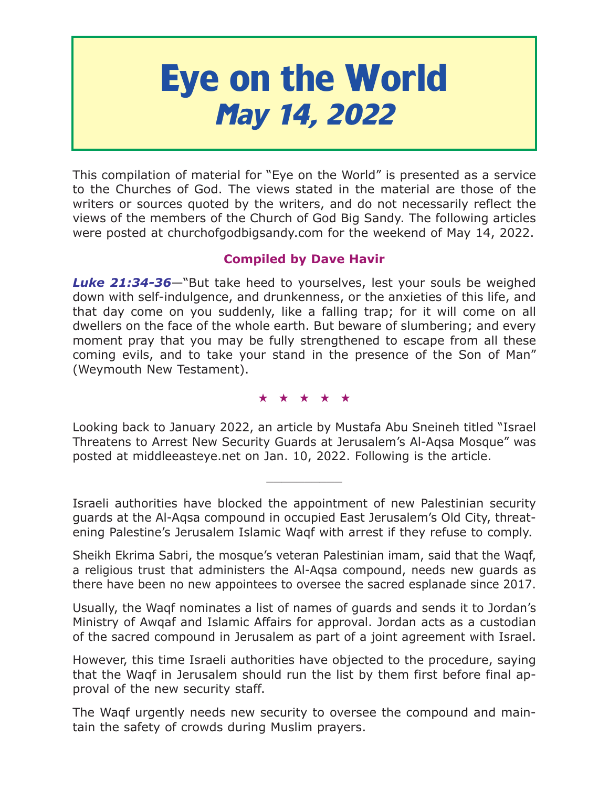# **Eye on the World May 14, 2022**

This compilation of material for "Eye on the World" is presented as a service to the Churches of God. The views stated in the material are those of the writers or sources quoted by the writers, and do not necessarily reflect the views of the members of the Church of God Big Sandy. The following articles were posted at churchofgodbigsandy.com for the weekend of May 14, 2022.

# **Compiled by Dave Havir**

*Luke 21:34-36*—"But take heed to yourselves, lest your souls be weighed down with self-indulgence, and drunkenness, or the anxieties of this life, and that day come on you suddenly, like a falling trap; for it will come on all dwellers on the face of the whole earth. But beware of slumbering; and every moment pray that you may be fully strengthened to escape from all these coming evils, and to take your stand in the presence of the Son of Man" (Weymouth New Testament).

## ★★★★★

Looking back to January 2022, an article by Mustafa Abu Sneineh titled "Israel Threatens to Arrest New Security Guards at Jerusalem's Al-Aqsa Mosque" was posted at middleeasteye.net on Jan. 10, 2022. Following is the article.

 $\overline{\phantom{a}}$  , where  $\overline{\phantom{a}}$ 

Israeli authorities have blocked the appointment of new Palestinian security guards at the Al-Aqsa compound in occupied East Jerusalem's Old City, threatening Palestine's Jerusalem Islamic Waqf with arrest if they refuse to comply.

Sheikh Ekrima Sabri, the mosque's veteran Palestinian imam, said that the Waqf, a religious trust that administers the Al-Aqsa compound, needs new guards as there have been no new appointees to oversee the sacred esplanade since 2017.

Usually, the Waqf nominates a list of names of guards and sends it to Jordan's Ministry of Awqaf and Islamic Affairs for approval. Jordan acts as a custodian of the sacred compound in Jerusalem as part of a joint agreement with Israel.

However, this time Israeli authorities have objected to the procedure, saying that the Waqf in Jerusalem should run the list by them first before final approval of the new security staff.

The Waqf urgently needs new security to oversee the compound and maintain the safety of crowds during Muslim prayers.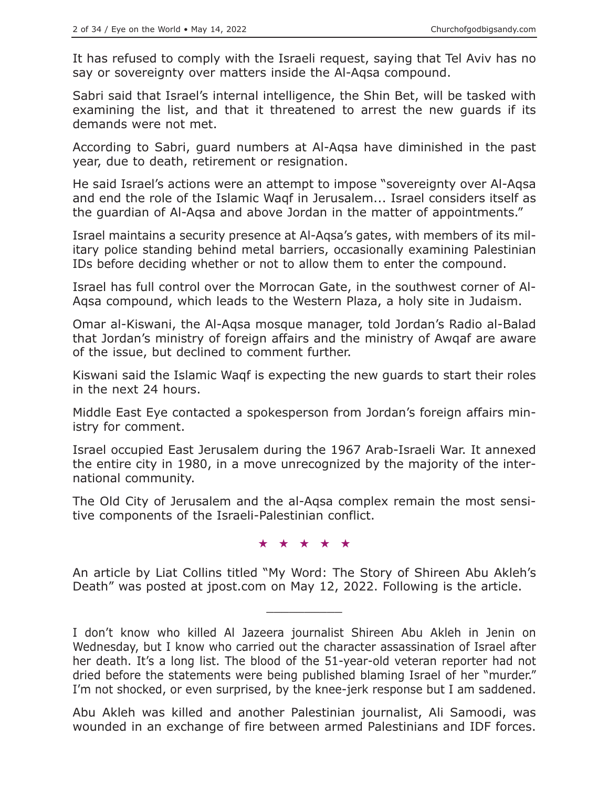It has refused to comply with the Israeli request, saying that Tel Aviv has no say or sovereignty over matters inside the Al-Aqsa compound.

Sabri said that Israel's internal intelligence, the Shin Bet, will be tasked with examining the list, and that it threatened to arrest the new guards if its demands were not met.

According to Sabri, guard numbers at Al-Aqsa have diminished in the past year, due to death, retirement or resignation.

He said Israel's actions were an attempt to impose "sovereignty over Al-Aqsa and end the role of the Islamic Waqf in Jerusalem... Israel considers itself as the guardian of Al-Aqsa and above Jordan in the matter of appointments."

Israel maintains a security presence at Al-Aqsa's gates, with members of its military police standing behind metal barriers, occasionally examining Palestinian IDs before deciding whether or not to allow them to enter the compound.

Israel has full control over the Morrocan Gate, in the southwest corner of Al-Aqsa compound, which leads to the Western Plaza, a holy site in Judaism.

Omar al-Kiswani, the Al-Aqsa mosque manager, told Jordan's Radio al-Balad that Jordan's ministry of foreign affairs and the ministry of Awqaf are aware of the issue, but declined to comment further.

Kiswani said the Islamic Waqf is expecting the new guards to start their roles in the next 24 hours.

Middle East Eye contacted a spokesperson from Jordan's foreign affairs ministry for comment.

Israel occupied East Jerusalem during the 1967 Arab-Israeli War. It annexed the entire city in 1980, in a move unrecognized by the majority of the international community.

The Old City of Jerusalem and the al-Aqsa complex remain the most sensitive components of the Israeli-Palestinian conflict.

★★★★★

An article by Liat Collins titled "My Word: The Story of Shireen Abu Akleh's Death" was posted at jpost.com on May 12, 2022. Following is the article.

 $\overline{\phantom{a}}$  , where  $\overline{\phantom{a}}$ 

Abu Akleh was killed and another Palestinian journalist, Ali Samoodi, was wounded in an exchange of fire between armed Palestinians and IDF forces.

I don't know who killed Al Jazeera journalist Shireen Abu Akleh in Jenin on Wednesday, but I know who carried out the character assassination of Israel after her death. It's a long list. The blood of the 51-year-old veteran reporter had not dried before the statements were being published blaming Israel of her "murder." I'm not shocked, or even surprised, by the knee-jerk response but I am saddened.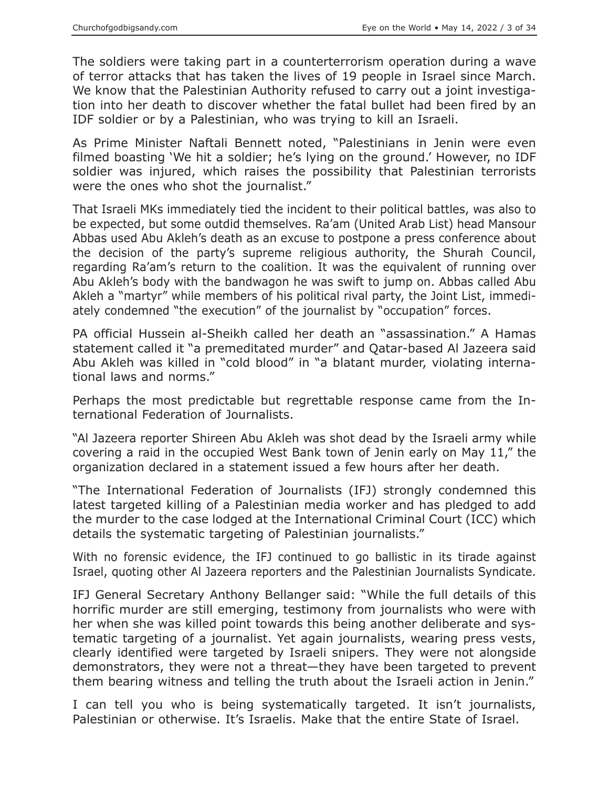The soldiers were taking part in a counterterrorism operation during a wave of terror attacks that has taken the lives of 19 people in Israel since March. We know that the Palestinian Authority refused to carry out a joint investigation into her death to discover whether the fatal bullet had been fired by an IDF soldier or by a Palestinian, who was trying to kill an Israeli.

As Prime Minister Naftali Bennett noted, "Palestinians in Jenin were even filmed boasting 'We hit a soldier; he's lying on the ground.' However, no IDF soldier was injured, which raises the possibility that Palestinian terrorists were the ones who shot the journalist."

That Israeli MKs immediately tied the incident to their political battles, was also to be expected, but some outdid themselves. Ra'am (United Arab List) head Mansour Abbas used Abu Akleh's death as an excuse to postpone a press conference about the decision of the party's supreme religious authority, the Shurah Council, regarding Ra'am's return to the coalition. It was the equivalent of running over Abu Akleh's body with the bandwagon he was swift to jump on. Abbas called Abu Akleh a "martyr" while members of his political rival party, the Joint List, immediately condemned "the execution" of the journalist by "occupation" forces.

PA official Hussein al-Sheikh called her death an "assassination." A Hamas statement called it "a premeditated murder" and Qatar-based Al Jazeera said Abu Akleh was killed in "cold blood" in "a blatant murder, violating international laws and norms."

Perhaps the most predictable but regrettable response came from the International Federation of Journalists.

"Al Jazeera reporter Shireen Abu Akleh was shot dead by the Israeli army while covering a raid in the occupied West Bank town of Jenin early on May 11," the organization declared in a statement issued a few hours after her death.

"The International Federation of Journalists (IFJ) strongly condemned this latest targeted killing of a Palestinian media worker and has pledged to add the murder to the case lodged at the International Criminal Court (ICC) which details the systematic targeting of Palestinian journalists."

With no forensic evidence, the IFJ continued to go ballistic in its tirade against Israel, quoting other Al Jazeera reporters and the Palestinian Journalists Syndicate.

IFJ General Secretary Anthony Bellanger said: "While the full details of this horrific murder are still emerging, testimony from journalists who were with her when she was killed point towards this being another deliberate and systematic targeting of a journalist. Yet again journalists, wearing press vests, clearly identified were targeted by Israeli snipers. They were not alongside demonstrators, they were not a threat—they have been targeted to prevent them bearing witness and telling the truth about the Israeli action in Jenin."

I can tell you who is being systematically targeted. It isn't journalists, Palestinian or otherwise. It's Israelis. Make that the entire State of Israel.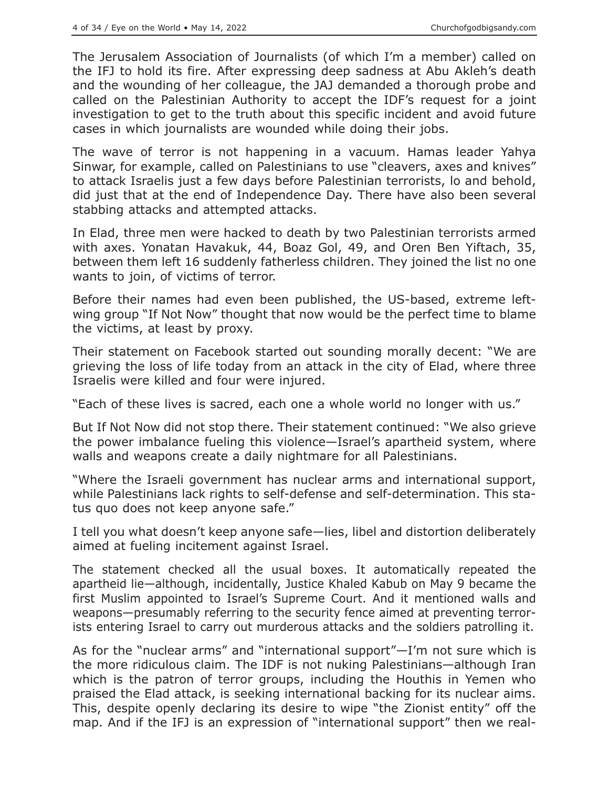The Jerusalem Association of Journalists (of which I'm a member) called on the IFJ to hold its fire. After expressing deep sadness at Abu Akleh's death and the wounding of her colleague, the JAJ demanded a thorough probe and called on the Palestinian Authority to accept the IDF's request for a joint investigation to get to the truth about this specific incident and avoid future cases in which journalists are wounded while doing their jobs.

The wave of terror is not happening in a vacuum. Hamas leader Yahya Sinwar, for example, called on Palestinians to use "cleavers, axes and knives" to attack Israelis just a few days before Palestinian terrorists, lo and behold, did just that at the end of Independence Day. There have also been several stabbing attacks and attempted attacks.

In Elad, three men were hacked to death by two Palestinian terrorists armed with axes. Yonatan Havakuk, 44, Boaz Gol, 49, and Oren Ben Yiftach, 35, between them left 16 suddenly fatherless children. They joined the list no one wants to join, of victims of terror.

Before their names had even been published, the US-based, extreme leftwing group "If Not Now" thought that now would be the perfect time to blame the victims, at least by proxy.

Their statement on Facebook started out sounding morally decent: "We are grieving the loss of life today from an attack in the city of Elad, where three Israelis were killed and four were injured.

"Each of these lives is sacred, each one a whole world no longer with us."

But If Not Now did not stop there. Their statement continued: "We also grieve the power imbalance fueling this violence—Israel's apartheid system, where walls and weapons create a daily nightmare for all Palestinians.

"Where the Israeli government has nuclear arms and international support, while Palestinians lack rights to self-defense and self-determination. This status quo does not keep anyone safe."

I tell you what doesn't keep anyone safe—lies, libel and distortion deliberately aimed at fueling incitement against Israel.

The statement checked all the usual boxes. It automatically repeated the apartheid lie—although, incidentally, Justice Khaled Kabub on May 9 became the first Muslim appointed to Israel's Supreme Court. And it mentioned walls and weapons—presumably referring to the security fence aimed at preventing terrorists entering Israel to carry out murderous attacks and the soldiers patrolling it.

As for the "nuclear arms" and "international support"—I'm not sure which is the more ridiculous claim. The IDF is not nuking Palestinians—although Iran which is the patron of terror groups, including the Houthis in Yemen who praised the Elad attack, is seeking international backing for its nuclear aims. This, despite openly declaring its desire to wipe "the Zionist entity" off the map. And if the IFJ is an expression of "international support" then we real-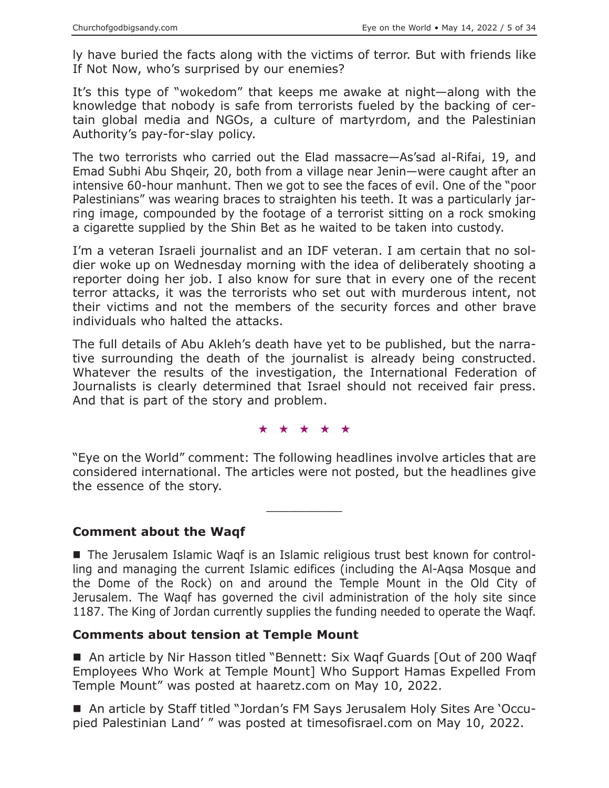ly have buried the facts along with the victims of terror. But with friends like If Not Now, who's surprised by our enemies?

It's this type of "wokedom" that keeps me awake at night—along with the knowledge that nobody is safe from terrorists fueled by the backing of certain global media and NGOs, a culture of martyrdom, and the Palestinian Authority's pay-for-slay policy.

The two terrorists who carried out the Elad massacre—As'sad al-Rifai, 19, and Emad Subhi Abu Shqeir, 20, both from a village near Jenin—were caught after an intensive 60-hour manhunt. Then we got to see the faces of evil. One of the "poor Palestinians" was wearing braces to straighten his teeth. It was a particularly jarring image, compounded by the footage of a terrorist sitting on a rock smoking a cigarette supplied by the Shin Bet as he waited to be taken into custody.

I'm a veteran Israeli journalist and an IDF veteran. I am certain that no soldier woke up on Wednesday morning with the idea of deliberately shooting a reporter doing her job. I also know for sure that in every one of the recent terror attacks, it was the terrorists who set out with murderous intent, not their victims and not the members of the security forces and other brave individuals who halted the attacks.

The full details of Abu Akleh's death have yet to be published, but the narrative surrounding the death of the journalist is already being constructed. Whatever the results of the investigation, the International Federation of Journalists is clearly determined that Israel should not received fair press. And that is part of the story and problem.

#### ★★★★★

"Eye on the World" comment: The following headlines involve articles that are considered international. The articles were not posted, but the headlines give the essence of the story.

 $\overline{\phantom{a}}$  , where  $\overline{\phantom{a}}$ 

#### **Comment about the Waqf**

■ The Jerusalem Islamic Waqf is an Islamic religious trust best known for controlling and managing the current Islamic edifices (including the Al-Aqsa Mosque and the Dome of the Rock) on and around the Temple Mount in the Old City of Jerusalem. The Waqf has governed the civil administration of the holy site since 1187. The King of Jordan currently supplies the funding needed to operate the Waqf.

#### **Comments about tension at Temple Mount**

■ An article by Nir Hasson titled "Bennett: Six Waqf Guards [Out of 200 Waqf Employees Who Work at Temple Mount] Who Support Hamas Expelled From Temple Mount" was posted at haaretz.com on May 10, 2022.

 An article by Staff titled "Jordan's FM Says Jerusalem Holy Sites Are 'Occupied Palestinian Land' " was posted at timesofisrael.com on May 10, 2022.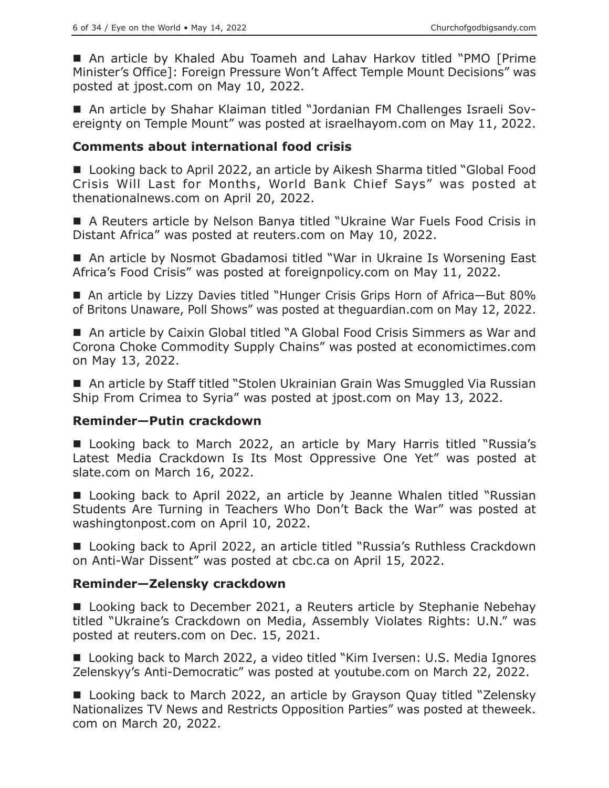An article by Khaled Abu Toameh and Lahav Harkov titled "PMO [Prime Minister's Office]: Foreign Pressure Won't Affect Temple Mount Decisions" was posted at jpost.com on May 10, 2022.

 An article by Shahar Klaiman titled "Jordanian FM Challenges Israeli Sovereignty on Temple Mount" was posted at israelhayom.com on May 11, 2022.

## **Comments about international food crisis**

■ Looking back to April 2022, an article by Aikesh Sharma titled "Global Food Crisis Will Last for Months, World Bank Chief Says" was posted at thenationalnews.com on April 20, 2022.

 A Reuters article by Nelson Banya titled "Ukraine War Fuels Food Crisis in Distant Africa" was posted at reuters.com on May 10, 2022.

■ An article by Nosmot Gbadamosi titled "War in Ukraine Is Worsening East Africa's Food Crisis" was posted at foreignpolicy.com on May 11, 2022.

■ An article by Lizzy Davies titled "Hunger Crisis Grips Horn of Africa-But 80% of Britons Unaware, Poll Shows" was posted at theguardian.com on May 12, 2022.

■ An article by Caixin Global titled "A Global Food Crisis Simmers as War and Corona Choke Commodity Supply Chains" was posted at economictimes.com on May 13, 2022.

■ An article by Staff titled "Stolen Ukrainian Grain Was Smuggled Via Russian Ship From Crimea to Syria" was posted at jpost.com on May 13, 2022.

## **Reminder—Putin crackdown**

■ Looking back to March 2022, an article by Mary Harris titled "Russia's Latest Media Crackdown Is Its Most Oppressive One Yet" was posted at slate.com on March 16, 2022.

■ Looking back to April 2022, an article by Jeanne Whalen titled "Russian Students Are Turning in Teachers Who Don't Back the War" was posted at washingtonpost.com on April 10, 2022.

■ Looking back to April 2022, an article titled "Russia's Ruthless Crackdown on Anti-War Dissent" was posted at cbc.ca on April 15, 2022.

## **Reminder—Zelensky crackdown**

■ Looking back to December 2021, a Reuters article by Stephanie Nebehay titled "Ukraine's Crackdown on Media, Assembly Violates Rights: U.N." was posted at reuters.com on Dec. 15, 2021.

■ Looking back to March 2022, a video titled "Kim Iversen: U.S. Media Ignores Zelenskyy's Anti-Democratic" was posted at youtube.com on March 22, 2022.

■ Looking back to March 2022, an article by Grayson Quay titled "Zelensky Nationalizes TV News and Restricts Opposition Parties" was posted at theweek. com on March 20, 2022.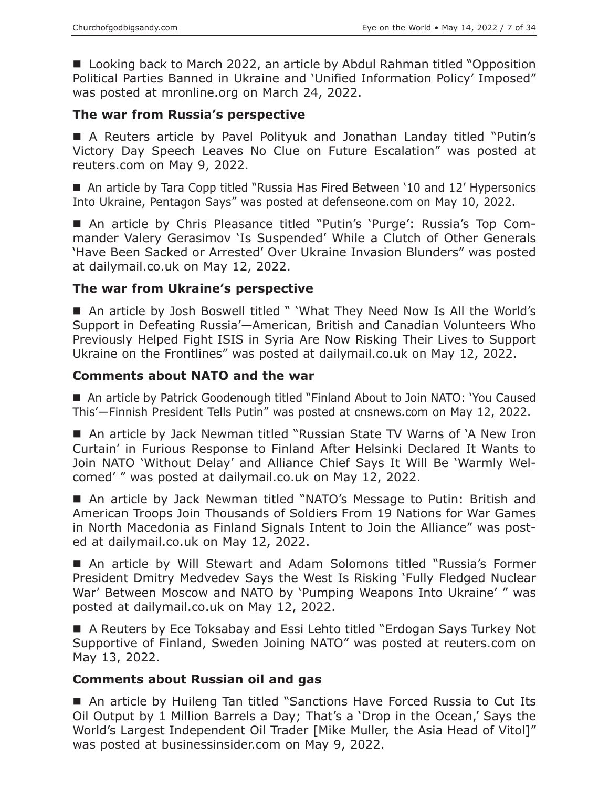■ Looking back to March 2022, an article by Abdul Rahman titled "Opposition Political Parties Banned in Ukraine and 'Unified Information Policy' Imposed" was posted at mronline.org on March 24, 2022.

## **The war from Russia's perspective**

 A Reuters article by Pavel Polityuk and Jonathan Landay titled "Putin's Victory Day Speech Leaves No Clue on Future Escalation" was posted at reuters.com on May 9, 2022.

■ An article by Tara Copp titled "Russia Has Fired Between '10 and 12' Hypersonics Into Ukraine, Pentagon Says" was posted at defenseone.com on May 10, 2022.

 An article by Chris Pleasance titled "Putin's 'Purge': Russia's Top Commander Valery Gerasimov 'Is Suspended' While a Clutch of Other Generals 'Have Been Sacked or Arrested' Over Ukraine Invasion Blunders" was posted at dailymail.co.uk on May 12, 2022.

# **The war from Ukraine's perspective**

■ An article by Josh Boswell titled " 'What They Need Now Is All the World's Support in Defeating Russia'—American, British and Canadian Volunteers Who Previously Helped Fight ISIS in Syria Are Now Risking Their Lives to Support Ukraine on the Frontlines" was posted at dailymail.co.uk on May 12, 2022.

## **Comments about NATO and the war**

 An article by Patrick Goodenough titled "Finland About to Join NATO: 'You Caused This'—Finnish President Tells Putin" was posted at cnsnews.com on May 12, 2022.

■ An article by Jack Newman titled "Russian State TV Warns of 'A New Iron Curtain' in Furious Response to Finland After Helsinki Declared It Wants to Join NATO 'Without Delay' and Alliance Chief Says It Will Be 'Warmly Welcomed' " was posted at dailymail.co.uk on May 12, 2022.

 An article by Jack Newman titled "NATO's Message to Putin: British and American Troops Join Thousands of Soldiers From 19 Nations for War Games in North Macedonia as Finland Signals Intent to Join the Alliance" was posted at dailymail.co.uk on May 12, 2022.

 An article by Will Stewart and Adam Solomons titled "Russia's Former President Dmitry Medvedev Says the West Is Risking 'Fully Fledged Nuclear War' Between Moscow and NATO by 'Pumping Weapons Into Ukraine' " was posted at dailymail.co.uk on May 12, 2022.

■ A Reuters by Ece Toksabay and Essi Lehto titled "Erdogan Says Turkey Not Supportive of Finland, Sweden Joining NATO" was posted at reuters.com on May 13, 2022.

## **Comments about Russian oil and gas**

■ An article by Huileng Tan titled "Sanctions Have Forced Russia to Cut Its Oil Output by 1 Million Barrels a Day; That's a 'Drop in the Ocean,' Says the World's Largest Independent Oil Trader [Mike Muller, the Asia Head of Vitol]" was posted at businessinsider.com on May 9, 2022.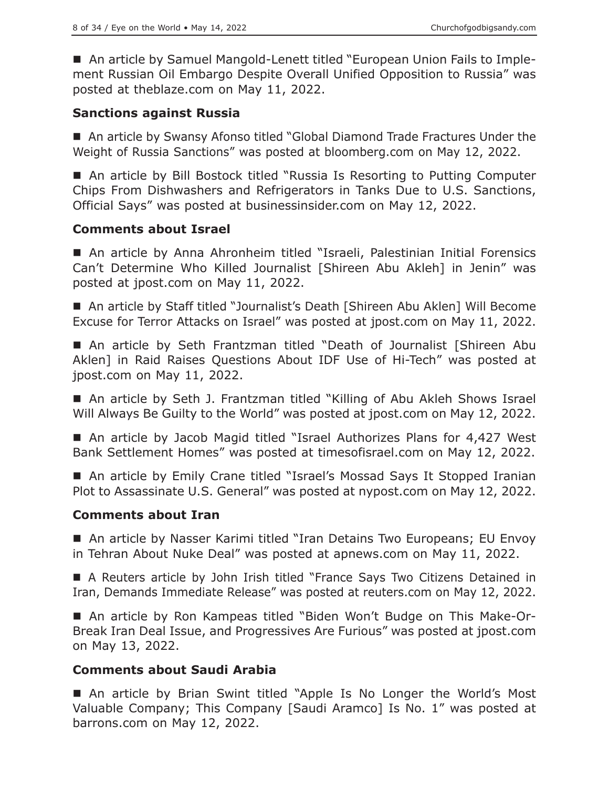An article by Samuel Mangold-Lenett titled "European Union Fails to Implement Russian Oil Embargo Despite Overall Unified Opposition to Russia" was posted at theblaze.com on May 11, 2022.

## **Sanctions against Russia**

■ An article by Swansy Afonso titled "Global Diamond Trade Fractures Under the Weight of Russia Sanctions" was posted at bloomberg.com on May 12, 2022.

■ An article by Bill Bostock titled "Russia Is Resorting to Putting Computer Chips From Dishwashers and Refrigerators in Tanks Due to U.S. Sanctions, Official Says" was posted at businessinsider.com on May 12, 2022.

## **Comments about Israel**

 An article by Anna Ahronheim titled "Israeli, Palestinian Initial Forensics Can't Determine Who Killed Journalist [Shireen Abu Akleh] in Jenin" was posted at jpost.com on May 11, 2022.

■ An article by Staff titled "Journalist's Death [Shireen Abu Aklen] Will Become Excuse for Terror Attacks on Israel" was posted at jpost.com on May 11, 2022.

 An article by Seth Frantzman titled "Death of Journalist [Shireen Abu Aklen] in Raid Raises Questions About IDF Use of Hi-Tech" was posted at jpost.com on May 11, 2022.

■ An article by Seth J. Frantzman titled "Killing of Abu Akleh Shows Israel Will Always Be Guilty to the World" was posted at jpost.com on May 12, 2022.

■ An article by Jacob Magid titled "Israel Authorizes Plans for 4,427 West Bank Settlement Homes" was posted at timesofisrael.com on May 12, 2022.

■ An article by Emily Crane titled "Israel's Mossad Says It Stopped Iranian Plot to Assassinate U.S. General" was posted at nypost.com on May 12, 2022.

## **Comments about Iran**

■ An article by Nasser Karimi titled "Iran Detains Two Europeans; EU Envoy in Tehran About Nuke Deal" was posted at apnews.com on May 11, 2022.

 A Reuters article by John Irish titled "France Says Two Citizens Detained in Iran, Demands Immediate Release" was posted at reuters.com on May 12, 2022.

 An article by Ron Kampeas titled "Biden Won't Budge on This Make-Or-Break Iran Deal Issue, and Progressives Are Furious" was posted at jpost.com on May 13, 2022.

## **Comments about Saudi Arabia**

■ An article by Brian Swint titled "Apple Is No Longer the World's Most Valuable Company; This Company [Saudi Aramco] Is No. 1" was posted at barrons.com on May 12, 2022.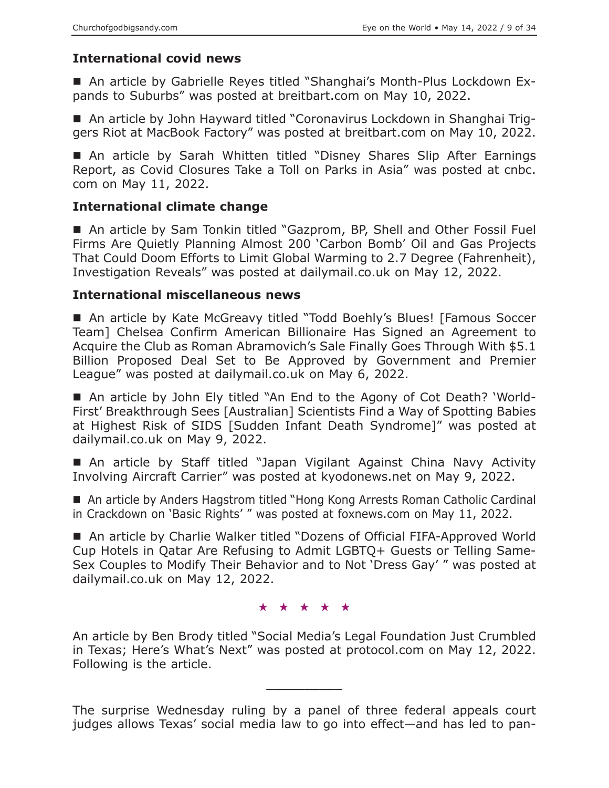## **International covid news**

■ An article by Gabrielle Reyes titled "Shanghai's Month-Plus Lockdown Expands to Suburbs" was posted at breitbart.com on May 10, 2022.

 An article by John Hayward titled "Coronavirus Lockdown in Shanghai Triggers Riot at MacBook Factory" was posted at breitbart.com on May 10, 2022.

■ An article by Sarah Whitten titled "Disney Shares Slip After Earnings Report, as Covid Closures Take a Toll on Parks in Asia" was posted at cnbc. com on May 11, 2022.

# **International climate change**

■ An article by Sam Tonkin titled "Gazprom, BP, Shell and Other Fossil Fuel Firms Are Quietly Planning Almost 200 'Carbon Bomb' Oil and Gas Projects That Could Doom Efforts to Limit Global Warming to 2.7 Degree (Fahrenheit), Investigation Reveals" was posted at dailymail.co.uk on May 12, 2022.

## **International miscellaneous news**

■ An article by Kate McGreavy titled "Todd Boehly's Blues! [Famous Soccer Team] Chelsea Confirm American Billionaire Has Signed an Agreement to Acquire the Club as Roman Abramovich's Sale Finally Goes Through With \$5.1 Billion Proposed Deal Set to Be Approved by Government and Premier League" was posted at dailymail.co.uk on May 6, 2022.

 An article by John Ely titled "An End to the Agony of Cot Death? 'World-First' Breakthrough Sees [Australian] Scientists Find a Way of Spotting Babies at Highest Risk of SIDS [Sudden Infant Death Syndrome]" was posted at dailymail.co.uk on May 9, 2022.

 An article by Staff titled "Japan Vigilant Against China Navy Activity Involving Aircraft Carrier" was posted at kyodonews.net on May 9, 2022.

■ An article by Anders Hagstrom titled "Hong Kong Arrests Roman Catholic Cardinal in Crackdown on 'Basic Rights' " was posted at foxnews.com on May 11, 2022.

■ An article by Charlie Walker titled "Dozens of Official FIFA-Approved World Cup Hotels in Qatar Are Refusing to Admit LGBTQ+ Guests or Telling Same-Sex Couples to Modify Their Behavior and to Not 'Dress Gay' " was posted at dailymail.co.uk on May 12, 2022.

★★★★★

An article by Ben Brody titled "Social Media's Legal Foundation Just Crumbled in Texas; Here's What's Next" was posted at protocol.com on May 12, 2022. Following is the article.

 $\overline{\phantom{a}}$  , where  $\overline{\phantom{a}}$ 

The surprise Wednesday ruling by a panel of three federal appeals court judges allows Texas' social media law to go into effect—and has led to pan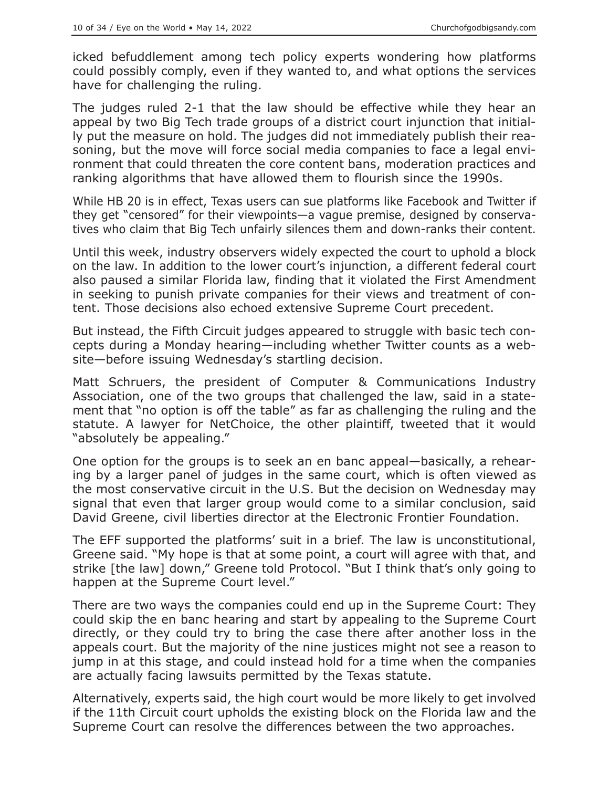icked befuddlement among tech policy experts wondering how platforms could possibly comply, even if they wanted to, and what options the services have for challenging the ruling.

The judges ruled 2-1 that the law should be effective while they hear an appeal by two Big Tech trade groups of a district court injunction that initially put the measure on hold. The judges did not immediately publish their reasoning, but the move will force social media companies to face a legal environment that could threaten the core content bans, moderation practices and ranking algorithms that have allowed them to flourish since the 1990s.

While HB 20 is in effect, Texas users can sue platforms like Facebook and Twitter if they get "censored" for their viewpoints—a vague premise, designed by conservatives who claim that Big Tech unfairly silences them and down-ranks their content.

Until this week, industry observers widely expected the court to uphold a block on the law. In addition to the lower court's injunction, a different federal court also paused a similar Florida law, finding that it violated the First Amendment in seeking to punish private companies for their views and treatment of content. Those decisions also echoed extensive Supreme Court precedent.

But instead, the Fifth Circuit judges appeared to struggle with basic tech concepts during a Monday hearing—including whether Twitter counts as a website—before issuing Wednesday's startling decision.

Matt Schruers, the president of Computer & Communications Industry Association, one of the two groups that challenged the law, said in a statement that "no option is off the table" as far as challenging the ruling and the statute. A lawyer for NetChoice, the other plaintiff, tweeted that it would "absolutely be appealing."

One option for the groups is to seek an en banc appeal—basically, a rehearing by a larger panel of judges in the same court, which is often viewed as the most conservative circuit in the U.S. But the decision on Wednesday may signal that even that larger group would come to a similar conclusion, said David Greene, civil liberties director at the Electronic Frontier Foundation.

The EFF supported the platforms' suit in a brief. The law is unconstitutional, Greene said. "My hope is that at some point, a court will agree with that, and strike [the law] down," Greene told Protocol. "But I think that's only going to happen at the Supreme Court level."

There are two ways the companies could end up in the Supreme Court: They could skip the en banc hearing and start by appealing to the Supreme Court directly, or they could try to bring the case there after another loss in the appeals court. But the majority of the nine justices might not see a reason to jump in at this stage, and could instead hold for a time when the companies are actually facing lawsuits permitted by the Texas statute.

Alternatively, experts said, the high court would be more likely to get involved if the 11th Circuit court upholds the existing block on the Florida law and the Supreme Court can resolve the differences between the two approaches.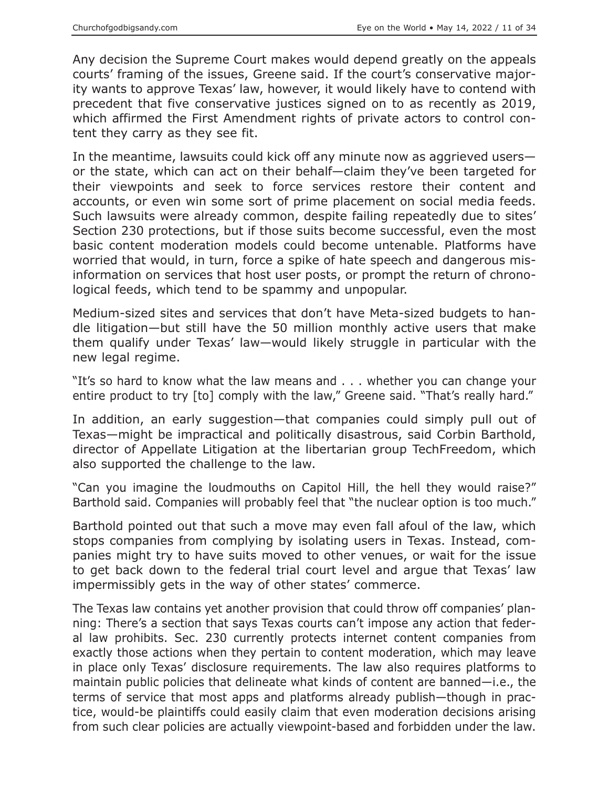Any decision the Supreme Court makes would depend greatly on the appeals courts' framing of the issues, Greene said. If the court's conservative majority wants to approve Texas' law, however, it would likely have to contend with precedent that five conservative justices signed on to as recently as 2019, which affirmed the First Amendment rights of private actors to control content they carry as they see fit.

In the meantime, lawsuits could kick off any minute now as aggrieved users or the state, which can act on their behalf—claim they've been targeted for their viewpoints and seek to force services restore their content and accounts, or even win some sort of prime placement on social media feeds. Such lawsuits were already common, despite failing repeatedly due to sites' Section 230 protections, but if those suits become successful, even the most basic content moderation models could become untenable. Platforms have worried that would, in turn, force a spike of hate speech and dangerous misinformation on services that host user posts, or prompt the return of chronological feeds, which tend to be spammy and unpopular.

Medium-sized sites and services that don't have Meta-sized budgets to handle litigation—but still have the 50 million monthly active users that make them qualify under Texas' law—would likely struggle in particular with the new legal regime.

"It's so hard to know what the law means and . . . whether you can change your entire product to try [to] comply with the law," Greene said. "That's really hard."

In addition, an early suggestion—that companies could simply pull out of Texas—might be impractical and politically disastrous, said Corbin Barthold, director of Appellate Litigation at the libertarian group TechFreedom, which also supported the challenge to the law.

"Can you imagine the loudmouths on Capitol Hill, the hell they would raise?" Barthold said. Companies will probably feel that "the nuclear option is too much."

Barthold pointed out that such a move may even fall afoul of the law, which stops companies from complying by isolating users in Texas. Instead, companies might try to have suits moved to other venues, or wait for the issue to get back down to the federal trial court level and argue that Texas' law impermissibly gets in the way of other states' commerce.

The Texas law contains yet another provision that could throw off companies' planning: There's a section that says Texas courts can't impose any action that federal law prohibits. Sec. 230 currently protects internet content companies from exactly those actions when they pertain to content moderation, which may leave in place only Texas' disclosure requirements. The law also requires platforms to maintain public policies that delineate what kinds of content are banned—i.e., the terms of service that most apps and platforms already publish—though in practice, would-be plaintiffs could easily claim that even moderation decisions arising from such clear policies are actually viewpoint-based and forbidden under the law.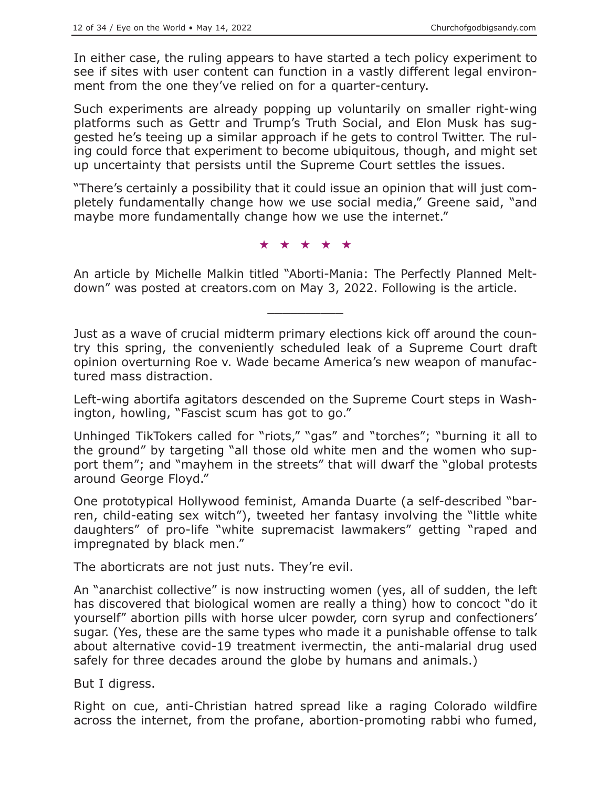In either case, the ruling appears to have started a tech policy experiment to see if sites with user content can function in a vastly different legal environment from the one they've relied on for a quarter-century.

Such experiments are already popping up voluntarily on smaller right-wing platforms such as Gettr and Trump's Truth Social, and Elon Musk has suggested he's teeing up a similar approach if he gets to control Twitter. The ruling could force that experiment to become ubiquitous, though, and might set up uncertainty that persists until the Supreme Court settles the issues.

"There's certainly a possibility that it could issue an opinion that will just completely fundamentally change how we use social media," Greene said, "and maybe more fundamentally change how we use the internet."

★★★★★

An article by Michelle Malkin titled "Aborti-Mania: The Perfectly Planned Meltdown" was posted at creators.com on May 3, 2022. Following is the article.

 $\overline{\phantom{a}}$  , where  $\overline{\phantom{a}}$ 

Just as a wave of crucial midterm primary elections kick off around the country this spring, the conveniently scheduled leak of a Supreme Court draft opinion overturning Roe v. Wade became America's new weapon of manufactured mass distraction.

Left-wing abortifa agitators descended on the Supreme Court steps in Washington, howling, "Fascist scum has got to go."

Unhinged TikTokers called for "riots," "gas" and "torches"; "burning it all to the ground" by targeting "all those old white men and the women who support them"; and "mayhem in the streets" that will dwarf the "global protests around George Floyd."

One prototypical Hollywood feminist, Amanda Duarte (a self-described "barren, child-eating sex witch"), tweeted her fantasy involving the "little white daughters" of pro-life "white supremacist lawmakers" getting "raped and impregnated by black men."

The aborticrats are not just nuts. They're evil.

An "anarchist collective" is now instructing women (yes, all of sudden, the left has discovered that biological women are really a thing) how to concoct "do it yourself" abortion pills with horse ulcer powder, corn syrup and confectioners' sugar. (Yes, these are the same types who made it a punishable offense to talk about alternative covid-19 treatment ivermectin, the anti-malarial drug used safely for three decades around the globe by humans and animals.)

But I digress.

Right on cue, anti-Christian hatred spread like a raging Colorado wildfire across the internet, from the profane, abortion-promoting rabbi who fumed,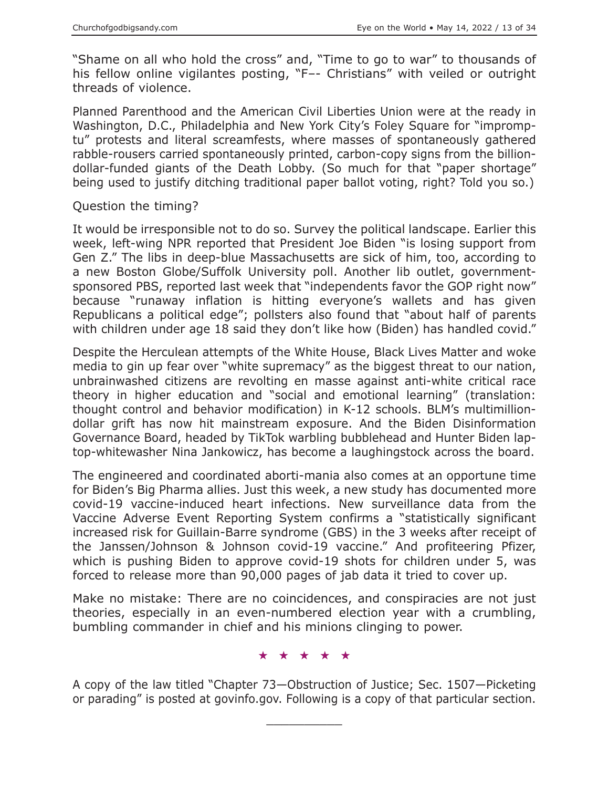"Shame on all who hold the cross" and, "Time to go to war" to thousands of his fellow online vigilantes posting, "F-- Christians" with veiled or outright threads of violence.

Planned Parenthood and the American Civil Liberties Union were at the ready in Washington, D.C., Philadelphia and New York City's Foley Square for "impromptu" protests and literal screamfests, where masses of spontaneously gathered rabble-rousers carried spontaneously printed, carbon-copy signs from the billiondollar-funded giants of the Death Lobby. (So much for that "paper shortage" being used to justify ditching traditional paper ballot voting, right? Told you so.)

Question the timing?

It would be irresponsible not to do so. Survey the political landscape. Earlier this week, left-wing NPR reported that President Joe Biden "is losing support from Gen Z." The libs in deep-blue Massachusetts are sick of him, too, according to a new Boston Globe/Suffolk University poll. Another lib outlet, governmentsponsored PBS, reported last week that "independents favor the GOP right now" because "runaway inflation is hitting everyone's wallets and has given Republicans a political edge"; pollsters also found that "about half of parents with children under age 18 said they don't like how (Biden) has handled covid."

Despite the Herculean attempts of the White House, Black Lives Matter and woke media to gin up fear over "white supremacy" as the biggest threat to our nation, unbrainwashed citizens are revolting en masse against anti-white critical race theory in higher education and "social and emotional learning" (translation: thought control and behavior modification) in K-12 schools. BLM's multimilliondollar grift has now hit mainstream exposure. And the Biden Disinformation Governance Board, headed by TikTok warbling bubblehead and Hunter Biden laptop-whitewasher Nina Jankowicz, has become a laughingstock across the board.

The engineered and coordinated aborti-mania also comes at an opportune time for Biden's Big Pharma allies. Just this week, a new study has documented more covid-19 vaccine-induced heart infections. New surveillance data from the Vaccine Adverse Event Reporting System confirms a "statistically significant increased risk for Guillain-Barre syndrome (GBS) in the 3 weeks after receipt of the Janssen/Johnson & Johnson covid-19 vaccine." And profiteering Pfizer, which is pushing Biden to approve covid-19 shots for children under 5, was forced to release more than 90,000 pages of jab data it tried to cover up.

Make no mistake: There are no coincidences, and conspiracies are not just theories, especially in an even-numbered election year with a crumbling, bumbling commander in chief and his minions clinging to power.

## ★★★★★

A copy of the law titled "Chapter 73—Obstruction of Justice; Sec. 1507—Picketing or parading" is posted at govinfo.gov. Following is a copy of that particular section.

 $\overline{\phantom{a}}$  , where  $\overline{\phantom{a}}$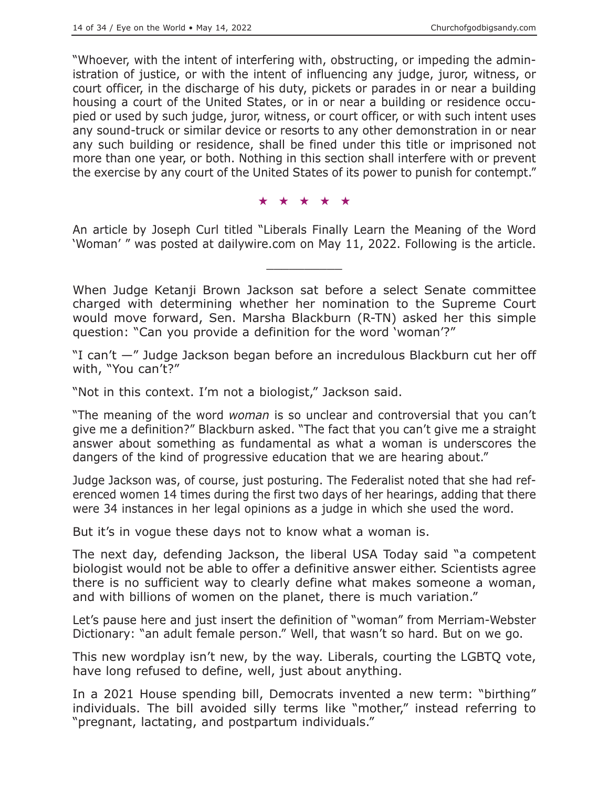"Whoever, with the intent of interfering with, obstructing, or impeding the administration of justice, or with the intent of influencing any judge, juror, witness, or court officer, in the discharge of his duty, pickets or parades in or near a building housing a court of the United States, or in or near a building or residence occupied or used by such judge, juror, witness, or court officer, or with such intent uses any sound-truck or similar device or resorts to any other demonstration in or near any such building or residence, shall be fined under this title or imprisoned not more than one year, or both. Nothing in this section shall interfere with or prevent the exercise by any court of the United States of its power to punish for contempt."

★★★★★

An article by Joseph Curl titled "Liberals Finally Learn the Meaning of the Word 'Woman' " was posted at dailywire.com on May 11, 2022. Following is the article.

 $\overline{\phantom{a}}$  , where  $\overline{\phantom{a}}$ 

When Judge Ketanji Brown Jackson sat before a select Senate committee charged with determining whether her nomination to the Supreme Court would move forward, Sen. Marsha Blackburn (R-TN) asked her this simple question: "Can you provide a definition for the word 'woman'?"

"I can't —" Judge Jackson began before an incredulous Blackburn cut her off with, "You can't?"

"Not in this context. I'm not a biologist," Jackson said.

"The meaning of the word *woman* is so unclear and controversial that you can't give me a definition?" Blackburn asked. "The fact that you can't give me a straight answer about something as fundamental as what a woman is underscores the dangers of the kind of progressive education that we are hearing about."

Judge Jackson was, of course, just posturing. The Federalist noted that she had referenced women 14 times during the first two days of her hearings, adding that there were 34 instances in her legal opinions as a judge in which she used the word.

But it's in vogue these days not to know what a woman is.

The next day, defending Jackson, the liberal USA Today said "a competent biologist would not be able to offer a definitive answer either. Scientists agree there is no sufficient way to clearly define what makes someone a woman, and with billions of women on the planet, there is much variation."

Let's pause here and just insert the definition of "woman" from Merriam-Webster Dictionary: "an adult female person." Well, that wasn't so hard. But on we go.

This new wordplay isn't new, by the way. Liberals, courting the LGBTQ vote, have long refused to define, well, just about anything.

In a 2021 House spending bill, Democrats invented a new term: "birthing" individuals. The bill avoided silly terms like "mother," instead referring to "pregnant, lactating, and postpartum individuals."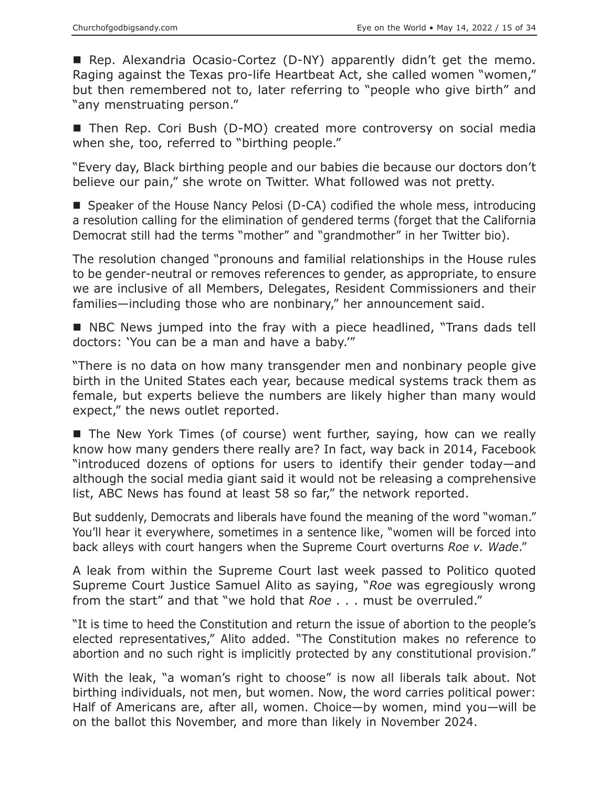■ Rep. Alexandria Ocasio-Cortez (D-NY) apparently didn't get the memo. Raging against the Texas pro-life Heartbeat Act, she called women "women," but then remembered not to, later referring to "people who give birth" and "any menstruating person."

■ Then Rep. Cori Bush (D-MO) created more controversy on social media when she, too, referred to "birthing people."

"Every day, Black birthing people and our babies die because our doctors don't believe our pain," she wrote on Twitter. What followed was not pretty.

■ Speaker of the House Nancy Pelosi (D-CA) codified the whole mess, introducing a resolution calling for the elimination of gendered terms (forget that the California Democrat still had the terms "mother" and "grandmother" in her Twitter bio).

The resolution changed "pronouns and familial relationships in the House rules to be gender-neutral or removes references to gender, as appropriate, to ensure we are inclusive of all Members, Delegates, Resident Commissioners and their families—including those who are nonbinary," her announcement said.

■ NBC News jumped into the fray with a piece headlined, "Trans dads tell doctors: 'You can be a man and have a baby.'"

"There is no data on how many transgender men and nonbinary people give birth in the United States each year, because medical systems track them as female, but experts believe the numbers are likely higher than many would expect," the news outlet reported.

■ The New York Times (of course) went further, saying, how can we really know how many genders there really are? In fact, way back in 2014, Facebook "introduced dozens of options for users to identify their gender today—and although the social media giant said it would not be releasing a comprehensive list, ABC News has found at least 58 so far," the network reported.

But suddenly, Democrats and liberals have found the meaning of the word "woman." You'll hear it everywhere, sometimes in a sentence like, "women will be forced into back alleys with court hangers when the Supreme Court overturns *Roe v. Wade*."

A leak from within the Supreme Court last week passed to Politico quoted Supreme Court Justice Samuel Alito as saying, "*Roe* was egregiously wrong from the start" and that "we hold that *Roe* ... must be overruled."

"It is time to heed the Constitution and return the issue of abortion to the people's elected representatives," Alito added. "The Constitution makes no reference to abortion and no such right is implicitly protected by any constitutional provision."

With the leak, "a woman's right to choose" is now all liberals talk about. Not birthing individuals, not men, but women. Now, the word carries political power: Half of Americans are, after all, women. Choice—by women, mind you—will be on the ballot this November, and more than likely in November 2024.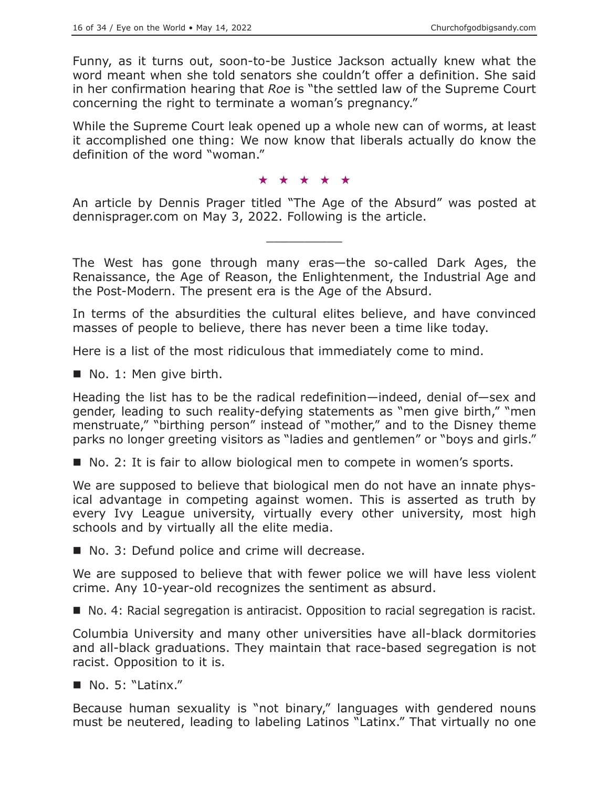Funny, as it turns out, soon-to-be Justice Jackson actually knew what the word meant when she told senators she couldn't offer a definition. She said in her confirmation hearing that *Roe* is "the settled law of the Supreme Court concerning the right to terminate a woman's pregnancy."

While the Supreme Court leak opened up a whole new can of worms, at least it accomplished one thing: We now know that liberals actually do know the definition of the word "woman."

★★★★★

An article by Dennis Prager titled "The Age of the Absurd" was posted at dennisprager.com on May 3, 2022. Following is the article.

 $\overline{\phantom{a}}$  , where  $\overline{\phantom{a}}$ 

The West has gone through many eras—the so-called Dark Ages, the Renaissance, the Age of Reason, the Enlightenment, the Industrial Age and the Post-Modern. The present era is the Age of the Absurd.

In terms of the absurdities the cultural elites believe, and have convinced masses of people to believe, there has never been a time like today.

Here is a list of the most ridiculous that immediately come to mind.

No. 1: Men give birth.

Heading the list has to be the radical redefinition—indeed, denial of—sex and gender, leading to such reality-defying statements as "men give birth," "men menstruate," "birthing person" instead of "mother," and to the Disney theme parks no longer greeting visitors as "ladies and gentlemen" or "boys and girls."

■ No. 2: It is fair to allow biological men to compete in women's sports.

We are supposed to believe that biological men do not have an innate physical advantage in competing against women. This is asserted as truth by every Ivy League university, virtually every other university, most high schools and by virtually all the elite media.

■ No. 3: Defund police and crime will decrease.

We are supposed to believe that with fewer police we will have less violent crime. Any 10-year-old recognizes the sentiment as absurd.

■ No. 4: Racial segregation is antiracist. Opposition to racial segregation is racist.

Columbia University and many other universities have all-black dormitories and all-black graduations. They maintain that race-based segregation is not racist. Opposition to it is.

 $\blacksquare$  No. 5: "Latinx."

Because human sexuality is "not binary," languages with gendered nouns must be neutered, leading to labeling Latinos "Latinx." That virtually no one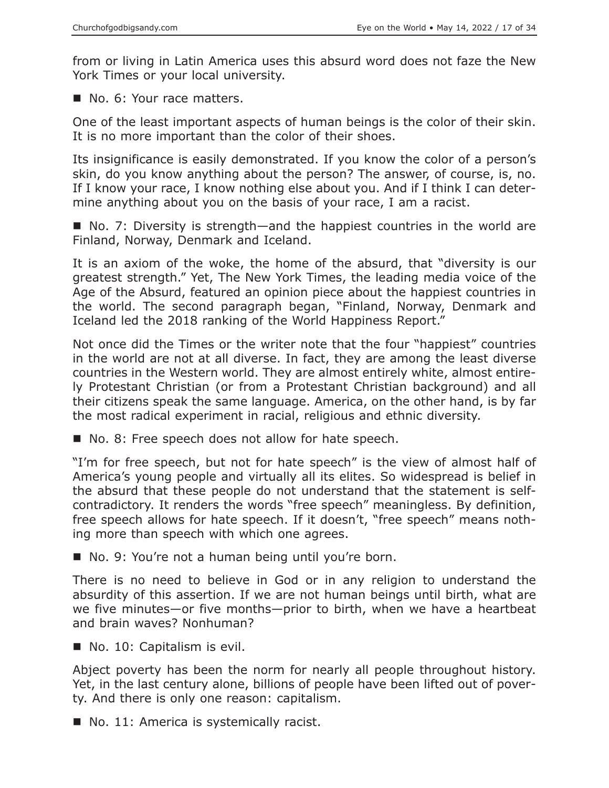from or living in Latin America uses this absurd word does not faze the New York Times or your local university.

No. 6: Your race matters.

One of the least important aspects of human beings is the color of their skin. It is no more important than the color of their shoes.

Its insignificance is easily demonstrated. If you know the color of a person's skin, do you know anything about the person? The answer, of course, is, no. If I know your race, I know nothing else about you. And if I think I can determine anything about you on the basis of your race, I am a racist.

■ No. 7: Diversity is strength—and the happiest countries in the world are Finland, Norway, Denmark and Iceland.

It is an axiom of the woke, the home of the absurd, that "diversity is our greatest strength." Yet, The New York Times, the leading media voice of the Age of the Absurd, featured an opinion piece about the happiest countries in the world. The second paragraph began, "Finland, Norway, Denmark and Iceland led the 2018 ranking of the World Happiness Report."

Not once did the Times or the writer note that the four "happiest" countries in the world are not at all diverse. In fact, they are among the least diverse countries in the Western world. They are almost entirely white, almost entirely Protestant Christian (or from a Protestant Christian background) and all their citizens speak the same language. America, on the other hand, is by far the most radical experiment in racial, religious and ethnic diversity.

■ No. 8: Free speech does not allow for hate speech.

"I'm for free speech, but not for hate speech" is the view of almost half of America's young people and virtually all its elites. So widespread is belief in the absurd that these people do not understand that the statement is selfcontradictory. It renders the words "free speech" meaningless. By definition, free speech allows for hate speech. If it doesn't, "free speech" means nothing more than speech with which one agrees.

■ No. 9: You're not a human being until you're born.

There is no need to believe in God or in any religion to understand the absurdity of this assertion. If we are not human beings until birth, what are we five minutes—or five months—prior to birth, when we have a heartbeat and brain waves? Nonhuman?

No. 10: Capitalism is evil.

Abject poverty has been the norm for nearly all people throughout history. Yet, in the last century alone, billions of people have been lifted out of poverty. And there is only one reason: capitalism.

No. 11: America is systemically racist.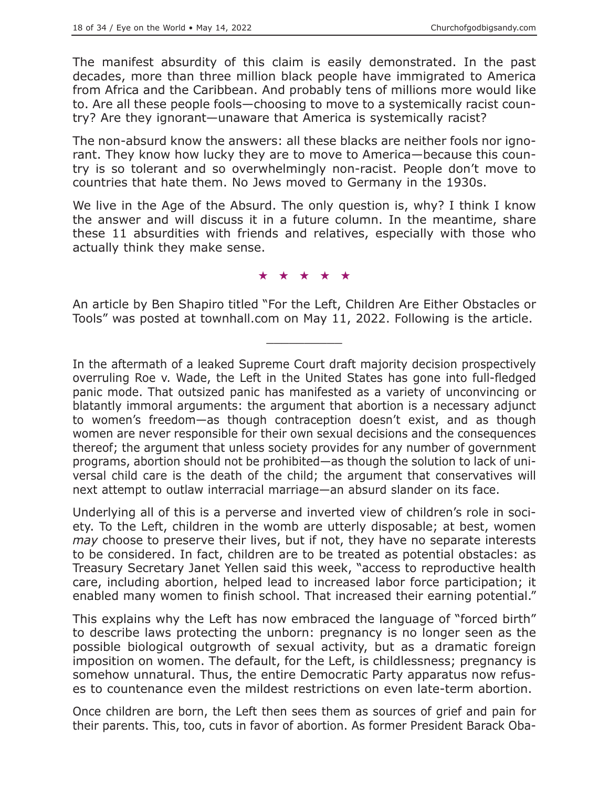The manifest absurdity of this claim is easily demonstrated. In the past decades, more than three million black people have immigrated to America from Africa and the Caribbean. And probably tens of millions more would like to. Are all these people fools—choosing to move to a systemically racist country? Are they ignorant—unaware that America is systemically racist?

The non-absurd know the answers: all these blacks are neither fools nor ignorant. They know how lucky they are to move to America—because this country is so tolerant and so overwhelmingly non-racist. People don't move to countries that hate them. No Jews moved to Germany in the 1930s.

We live in the Age of the Absurd. The only question is, why? I think I know the answer and will discuss it in a future column. In the meantime, share these 11 absurdities with friends and relatives, especially with those who actually think they make sense.

#### ★★★★★

An article by Ben Shapiro titled "For the Left, Children Are Either Obstacles or Tools" was posted at townhall.com on May 11, 2022. Following is the article.

 $\overline{\phantom{a}}$  , where  $\overline{\phantom{a}}$ 

In the aftermath of a leaked Supreme Court draft majority decision prospectively overruling Roe v. Wade, the Left in the United States has gone into full-fledged panic mode. That outsized panic has manifested as a variety of unconvincing or blatantly immoral arguments: the argument that abortion is a necessary adjunct to women's freedom—as though contraception doesn't exist, and as though women are never responsible for their own sexual decisions and the consequences thereof; the argument that unless society provides for any number of government programs, abortion should not be prohibited—as though the solution to lack of universal child care is the death of the child; the argument that conservatives will next attempt to outlaw interracial marriage—an absurd slander on its face.

Underlying all of this is a perverse and inverted view of children's role in society. To the Left, children in the womb are utterly disposable; at best, women *may* choose to preserve their lives, but if not, they have no separate interests to be considered. In fact, children are to be treated as potential obstacles: as Treasury Secretary Janet Yellen said this week, "access to reproductive health care, including abortion, helped lead to increased labor force participation; it enabled many women to finish school. That increased their earning potential."

This explains why the Left has now embraced the language of "forced birth" to describe laws protecting the unborn: pregnancy is no longer seen as the possible biological outgrowth of sexual activity, but as a dramatic foreign imposition on women. The default, for the Left, is childlessness; pregnancy is somehow unnatural. Thus, the entire Democratic Party apparatus now refuses to countenance even the mildest restrictions on even late-term abortion.

Once children are born, the Left then sees them as sources of grief and pain for their parents. This, too, cuts in favor of abortion. As former President Barack Oba-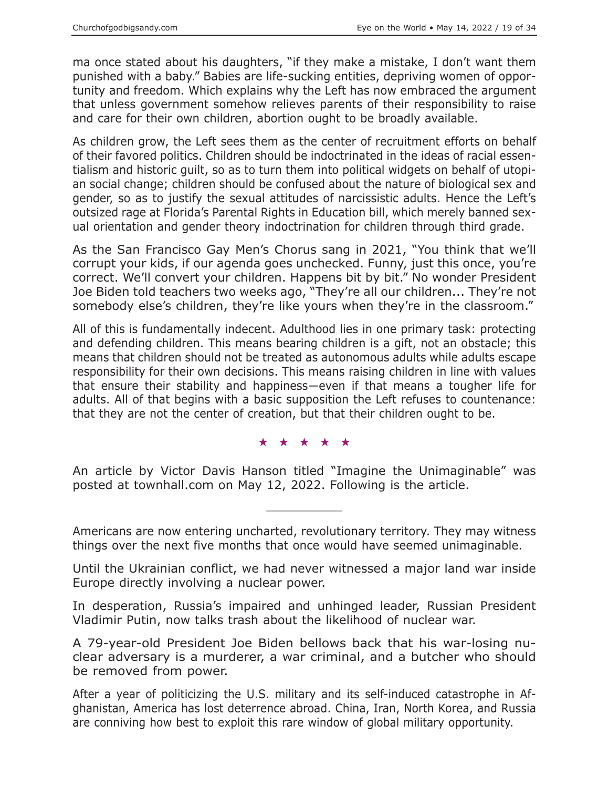ma once stated about his daughters, "if they make a mistake, I don't want them punished with a baby." Babies are life-sucking entities, depriving women of opportunity and freedom. Which explains why the Left has now embraced the argument that unless government somehow relieves parents of their responsibility to raise and care for their own children, abortion ought to be broadly available.

As children grow, the Left sees them as the center of recruitment efforts on behalf of their favored politics. Children should be indoctrinated in the ideas of racial essentialism and historic guilt, so as to turn them into political widgets on behalf of utopian social change; children should be confused about the nature of biological sex and gender, so as to justify the sexual attitudes of narcissistic adults. Hence the Left's outsized rage at Florida's Parental Rights in Education bill, which merely banned sexual orientation and gender theory indoctrination for children through third grade.

As the San Francisco Gay Men's Chorus sang in 2021, "You think that we'll corrupt your kids, if our agenda goes unchecked. Funny, just this once, you're correct. We'll convert your children. Happens bit by bit." No wonder President Joe Biden told teachers two weeks ago, "They're all our children... They're not somebody else's children, they're like yours when they're in the classroom."

All of this is fundamentally indecent. Adulthood lies in one primary task: protecting and defending children. This means bearing children is a gift, not an obstacle; this means that children should not be treated as autonomous adults while adults escape responsibility for their own decisions. This means raising children in line with values that ensure their stability and happiness—even if that means a tougher life for adults. All of that begins with a basic supposition the Left refuses to countenance: that they are not the center of creation, but that their children ought to be.

## ★★★★★

An article by Victor Davis Hanson titled "Imagine the Unimaginable" was posted at townhall.com on May 12, 2022. Following is the article.

 $\overline{\phantom{a}}$  , where  $\overline{\phantom{a}}$ 

Americans are now entering uncharted, revolutionary territory. They may witness things over the next five months that once would have seemed unimaginable.

Until the Ukrainian conflict, we had never witnessed a major land war inside Europe directly involving a nuclear power.

In desperation, Russia's impaired and unhinged leader, Russian President Vladimir Putin, now talks trash about the likelihood of nuclear war.

A 79-year-old President Joe Biden bellows back that his war-losing nuclear adversary is a murderer, a war criminal, and a butcher who should be removed from power.

After a year of politicizing the U.S. military and its self-induced catastrophe in Afghanistan, America has lost deterrence abroad. China, Iran, North Korea, and Russia are conniving how best to exploit this rare window of global military opportunity.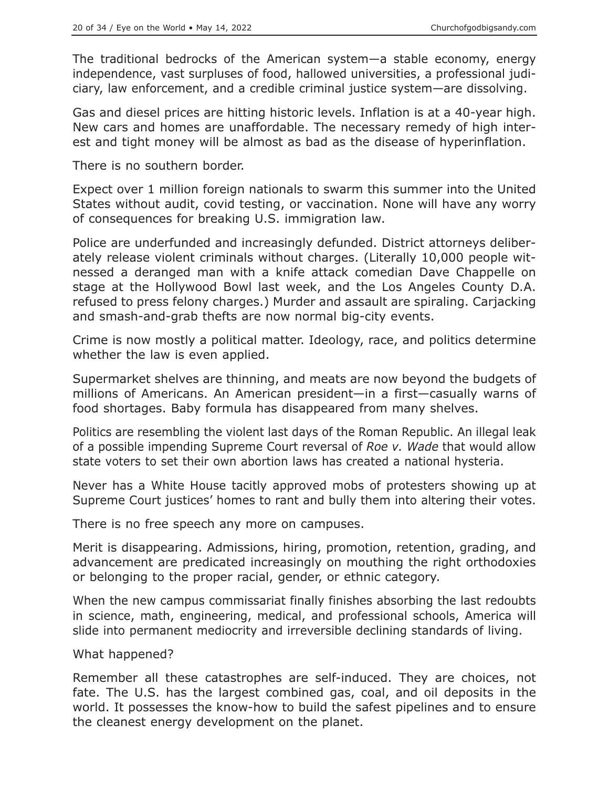The traditional bedrocks of the American system—a stable economy, energy independence, vast surpluses of food, hallowed universities, a professional judiciary, law enforcement, and a credible criminal justice system—are dissolving.

Gas and diesel prices are hitting historic levels. Inflation is at a 40-year high. New cars and homes are unaffordable. The necessary remedy of high interest and tight money will be almost as bad as the disease of hyperinflation.

There is no southern border.

Expect over 1 million foreign nationals to swarm this summer into the United States without audit, covid testing, or vaccination. None will have any worry of consequences for breaking U.S. immigration law.

Police are underfunded and increasingly defunded. District attorneys deliberately release violent criminals without charges. (Literally 10,000 people witnessed a deranged man with a knife attack comedian Dave Chappelle on stage at the Hollywood Bowl last week, and the Los Angeles County D.A. refused to press felony charges.) Murder and assault are spiraling. Carjacking and smash-and-grab thefts are now normal big-city events.

Crime is now mostly a political matter. Ideology, race, and politics determine whether the law is even applied.

Supermarket shelves are thinning, and meats are now beyond the budgets of millions of Americans. An American president—in a first—casually warns of food shortages. Baby formula has disappeared from many shelves.

Politics are resembling the violent last days of the Roman Republic. An illegal leak of a possible impending Supreme Court reversal of *Roe v. Wade* that would allow state voters to set their own abortion laws has created a national hysteria.

Never has a White House tacitly approved mobs of protesters showing up at Supreme Court justices' homes to rant and bully them into altering their votes.

There is no free speech any more on campuses.

Merit is disappearing. Admissions, hiring, promotion, retention, grading, and advancement are predicated increasingly on mouthing the right orthodoxies or belonging to the proper racial, gender, or ethnic category.

When the new campus commissariat finally finishes absorbing the last redoubts in science, math, engineering, medical, and professional schools, America will slide into permanent mediocrity and irreversible declining standards of living.

What happened?

Remember all these catastrophes are self-induced. They are choices, not fate. The U.S. has the largest combined gas, coal, and oil deposits in the world. It possesses the know-how to build the safest pipelines and to ensure the cleanest energy development on the planet.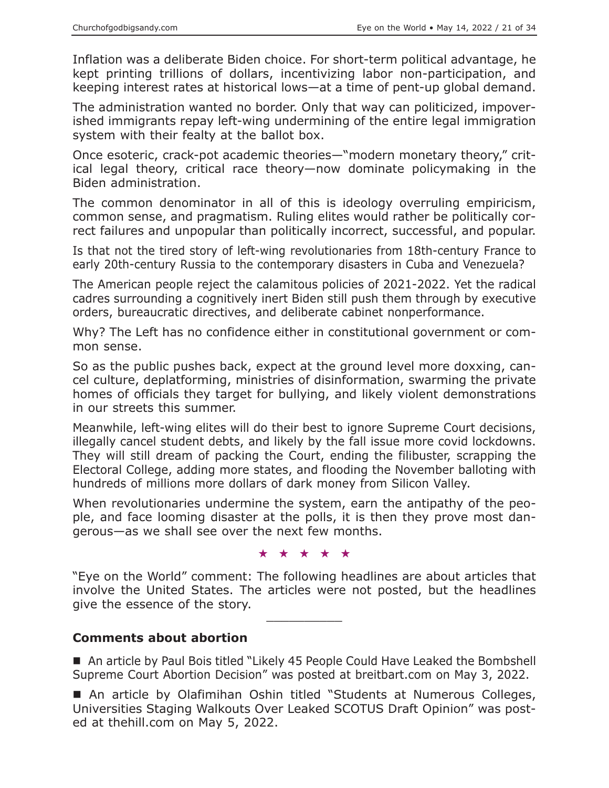Inflation was a deliberate Biden choice. For short-term political advantage, he kept printing trillions of dollars, incentivizing labor non-participation, and keeping interest rates at historical lows—at a time of pent-up global demand.

The administration wanted no border. Only that way can politicized, impoverished immigrants repay left-wing undermining of the entire legal immigration system with their fealty at the ballot box.

Once esoteric, crack-pot academic theories—"modern monetary theory," critical legal theory, critical race theory—now dominate policymaking in the Biden administration.

The common denominator in all of this is ideology overruling empiricism, common sense, and pragmatism. Ruling elites would rather be politically correct failures and unpopular than politically incorrect, successful, and popular.

Is that not the tired story of left-wing revolutionaries from 18th-century France to early 20th-century Russia to the contemporary disasters in Cuba and Venezuela?

The American people reject the calamitous policies of 2021-2022. Yet the radical cadres surrounding a cognitively inert Biden still push them through by executive orders, bureaucratic directives, and deliberate cabinet nonperformance.

Why? The Left has no confidence either in constitutional government or common sense.

So as the public pushes back, expect at the ground level more doxxing, cancel culture, deplatforming, ministries of disinformation, swarming the private homes of officials they target for bullying, and likely violent demonstrations in our streets this summer.

Meanwhile, left-wing elites will do their best to ignore Supreme Court decisions, illegally cancel student debts, and likely by the fall issue more covid lockdowns. They will still dream of packing the Court, ending the filibuster, scrapping the Electoral College, adding more states, and flooding the November balloting with hundreds of millions more dollars of dark money from Silicon Valley.

When revolutionaries undermine the system, earn the antipathy of the people, and face looming disaster at the polls, it is then they prove most dangerous—as we shall see over the next few months.

#### ★★★★★

"Eye on the World" comment: The following headlines are about articles that involve the United States. The articles were not posted, but the headlines give the essence of the story.  $\overline{\phantom{a}}$  , where  $\overline{\phantom{a}}$ 

## **Comments about abortion**

 An article by Paul Bois titled "Likely 45 People Could Have Leaked the Bombshell Supreme Court Abortion Decision" was posted at breitbart.com on May 3, 2022.

■ An article by Olafimihan Oshin titled "Students at Numerous Colleges, Universities Staging Walkouts Over Leaked SCOTUS Draft Opinion" was posted at thehill.com on May 5, 2022.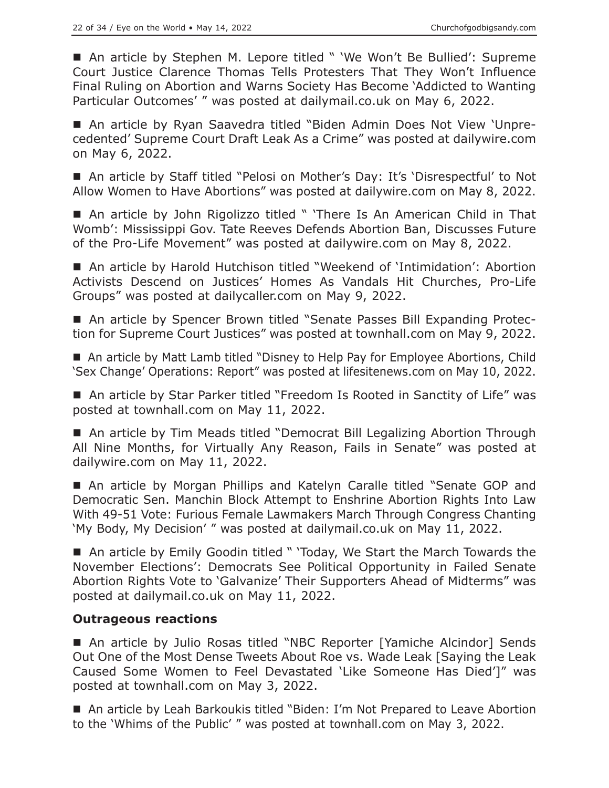■ An article by Stephen M. Lepore titled " 'We Won't Be Bullied': Supreme Court Justice Clarence Thomas Tells Protesters That They Won't Influence Final Ruling on Abortion and Warns Society Has Become 'Addicted to Wanting Particular Outcomes' " was posted at dailymail.co.uk on May 6, 2022.

 An article by Ryan Saavedra titled "Biden Admin Does Not View 'Unprecedented' Supreme Court Draft Leak As a Crime" was posted at dailywire.com on May 6, 2022.

■ An article by Staff titled "Pelosi on Mother's Day: It's 'Disrespectful' to Not Allow Women to Have Abortions" was posted at dailywire.com on May 8, 2022.

■ An article by John Rigolizzo titled " 'There Is An American Child in That Womb': Mississippi Gov. Tate Reeves Defends Abortion Ban, Discusses Future of the Pro-Life Movement" was posted at dailywire.com on May 8, 2022.

■ An article by Harold Hutchison titled "Weekend of 'Intimidation': Abortion Activists Descend on Justices' Homes As Vandals Hit Churches, Pro-Life Groups" was posted at dailycaller.com on May 9, 2022.

■ An article by Spencer Brown titled "Senate Passes Bill Expanding Protection for Supreme Court Justices" was posted at townhall.com on May 9, 2022.

■ An article by Matt Lamb titled "Disney to Help Pay for Employee Abortions, Child 'Sex Change' Operations: Report" was posted at lifesitenews.com on May 10, 2022.

■ An article by Star Parker titled "Freedom Is Rooted in Sanctity of Life" was posted at townhall.com on May 11, 2022.

■ An article by Tim Meads titled "Democrat Bill Legalizing Abortion Through All Nine Months, for Virtually Any Reason, Fails in Senate" was posted at dailywire.com on May 11, 2022.

■ An article by Morgan Phillips and Katelyn Caralle titled "Senate GOP and Democratic Sen. Manchin Block Attempt to Enshrine Abortion Rights Into Law With 49-51 Vote: Furious Female Lawmakers March Through Congress Chanting 'My Body, My Decision' " was posted at dailymail.co.uk on May 11, 2022.

■ An article by Emily Goodin titled " 'Today, We Start the March Towards the November Elections': Democrats See Political Opportunity in Failed Senate Abortion Rights Vote to 'Galvanize' Their Supporters Ahead of Midterms" was posted at dailymail.co.uk on May 11, 2022.

## **Outrageous reactions**

 An article by Julio Rosas titled "NBC Reporter [Yamiche Alcindor] Sends Out One of the Most Dense Tweets About Roe vs. Wade Leak [Saying the Leak Caused Some Women to Feel Devastated 'Like Someone Has Died']" was posted at townhall.com on May 3, 2022.

■ An article by Leah Barkoukis titled "Biden: I'm Not Prepared to Leave Abortion to the 'Whims of the Public' " was posted at townhall.com on May 3, 2022.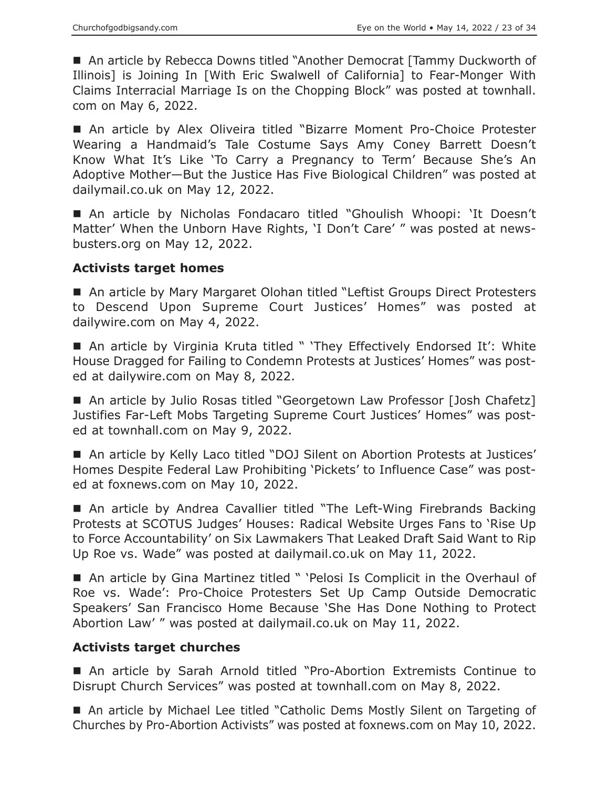■ An article by Rebecca Downs titled "Another Democrat [Tammy Duckworth of Illinois] is Joining In [With Eric Swalwell of California] to Fear-Monger With Claims Interracial Marriage Is on the Chopping Block" was posted at townhall. com on May 6, 2022.

 An article by Alex Oliveira titled "Bizarre Moment Pro-Choice Protester Wearing a Handmaid's Tale Costume Says Amy Coney Barrett Doesn't Know What It's Like 'To Carry a Pregnancy to Term' Because She's An Adoptive Mother—But the Justice Has Five Biological Children" was posted at dailymail.co.uk on May 12, 2022.

 An article by Nicholas Fondacaro titled "Ghoulish Whoopi: 'It Doesn't Matter' When the Unborn Have Rights, 'I Don't Care' " was posted at newsbusters.org on May 12, 2022.

#### **Activists target homes**

■ An article by Mary Margaret Olohan titled "Leftist Groups Direct Protesters to Descend Upon Supreme Court Justices' Homes" was posted at dailywire.com on May 4, 2022.

■ An article by Virginia Kruta titled " 'They Effectively Endorsed It': White House Dragged for Failing to Condemn Protests at Justices' Homes" was posted at dailywire.com on May 8, 2022.

■ An article by Julio Rosas titled "Georgetown Law Professor [Josh Chafetz] Justifies Far-Left Mobs Targeting Supreme Court Justices' Homes" was posted at townhall.com on May 9, 2022.

■ An article by Kelly Laco titled "DOJ Silent on Abortion Protests at Justices' Homes Despite Federal Law Prohibiting 'Pickets' to Influence Case" was posted at foxnews.com on May 10, 2022.

■ An article by Andrea Cavallier titled "The Left-Wing Firebrands Backing Protests at SCOTUS Judges' Houses: Radical Website Urges Fans to 'Rise Up to Force Accountability' on Six Lawmakers That Leaked Draft Said Want to Rip Up Roe vs. Wade" was posted at dailymail.co.uk on May 11, 2022.

■ An article by Gina Martinez titled " 'Pelosi Is Complicit in the Overhaul of Roe vs. Wade': Pro-Choice Protesters Set Up Camp Outside Democratic Speakers' San Francisco Home Because 'She Has Done Nothing to Protect Abortion Law' " was posted at dailymail.co.uk on May 11, 2022.

## **Activists target churches**

■ An article by Sarah Arnold titled "Pro-Abortion Extremists Continue to Disrupt Church Services" was posted at townhall.com on May 8, 2022.

■ An article by Michael Lee titled "Catholic Dems Mostly Silent on Targeting of Churches by Pro-Abortion Activists" was posted at foxnews.com on May 10, 2022.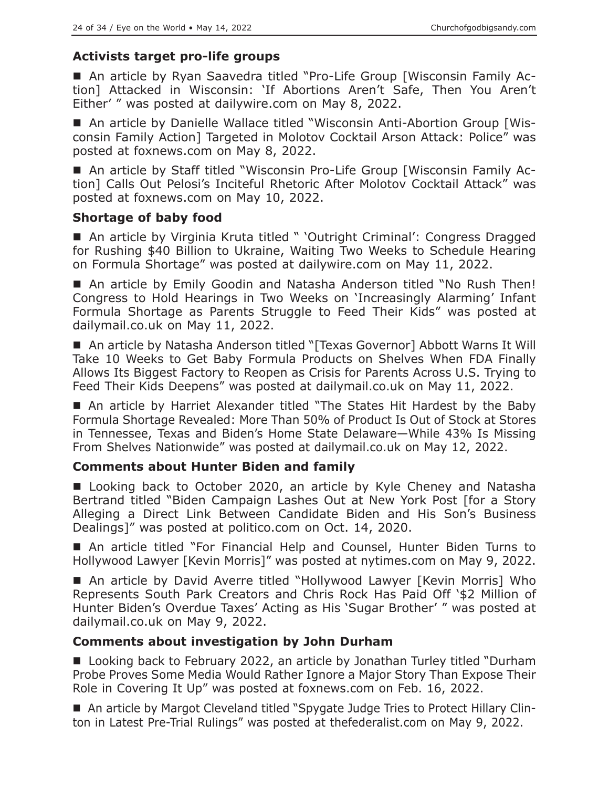# **Activists target pro-life groups**

■ An article by Ryan Saavedra titled "Pro-Life Group [Wisconsin Family Action] Attacked in Wisconsin: 'If Abortions Aren't Safe, Then You Aren't Either' " was posted at dailywire.com on May 8, 2022.

 An article by Danielle Wallace titled "Wisconsin Anti-Abortion Group [Wisconsin Family Action] Targeted in Molotov Cocktail Arson Attack: Police" was posted at foxnews.com on May 8, 2022.

 An article by Staff titled "Wisconsin Pro-Life Group [Wisconsin Family Action] Calls Out Pelosi's Inciteful Rhetoric After Molotov Cocktail Attack" was posted at foxnews.com on May 10, 2022.

## **Shortage of baby food**

■ An article by Virginia Kruta titled " 'Outright Criminal': Congress Dragged for Rushing \$40 Billion to Ukraine, Waiting Two Weeks to Schedule Hearing on Formula Shortage" was posted at dailywire.com on May 11, 2022.

 An article by Emily Goodin and Natasha Anderson titled "No Rush Then! Congress to Hold Hearings in Two Weeks on 'Increasingly Alarming' Infant Formula Shortage as Parents Struggle to Feed Their Kids" was posted at dailymail.co.uk on May 11, 2022.

■ An article by Natasha Anderson titled "[Texas Governor] Abbott Warns It Will Take 10 Weeks to Get Baby Formula Products on Shelves When FDA Finally Allows Its Biggest Factory to Reopen as Crisis for Parents Across U.S. Trying to Feed Their Kids Deepens" was posted at dailymail.co.uk on May 11, 2022.

 An article by Harriet Alexander titled "The States Hit Hardest by the Baby Formula Shortage Revealed: More Than 50% of Product Is Out of Stock at Stores in Tennessee, Texas and Biden's Home State Delaware—While 43% Is Missing From Shelves Nationwide" was posted at dailymail.co.uk on May 12, 2022.

## **Comments about Hunter Biden and family**

■ Looking back to October 2020, an article by Kyle Cheney and Natasha Bertrand titled "Biden Campaign Lashes Out at New York Post [for a Story Alleging a Direct Link Between Candidate Biden and His Son's Business Dealings]" was posted at politico.com on Oct. 14, 2020.

■ An article titled "For Financial Help and Counsel, Hunter Biden Turns to Hollywood Lawyer [Kevin Morris]" was posted at nytimes.com on May 9, 2022.

 An article by David Averre titled "Hollywood Lawyer [Kevin Morris] Who Represents South Park Creators and Chris Rock Has Paid Off '\$2 Million of Hunter Biden's Overdue Taxes' Acting as His 'Sugar Brother' " was posted at dailymail.co.uk on May 9, 2022.

#### **Comments about investigation by John Durham**

■ Looking back to February 2022, an article by Jonathan Turley titled "Durham Probe Proves Some Media Would Rather Ignore a Major Story Than Expose Their Role in Covering It Up" was posted at foxnews.com on Feb. 16, 2022.

■ An article by Margot Cleveland titled "Spygate Judge Tries to Protect Hillary Clinton in Latest Pre-Trial Rulings" was posted at thefederalist.com on May 9, 2022.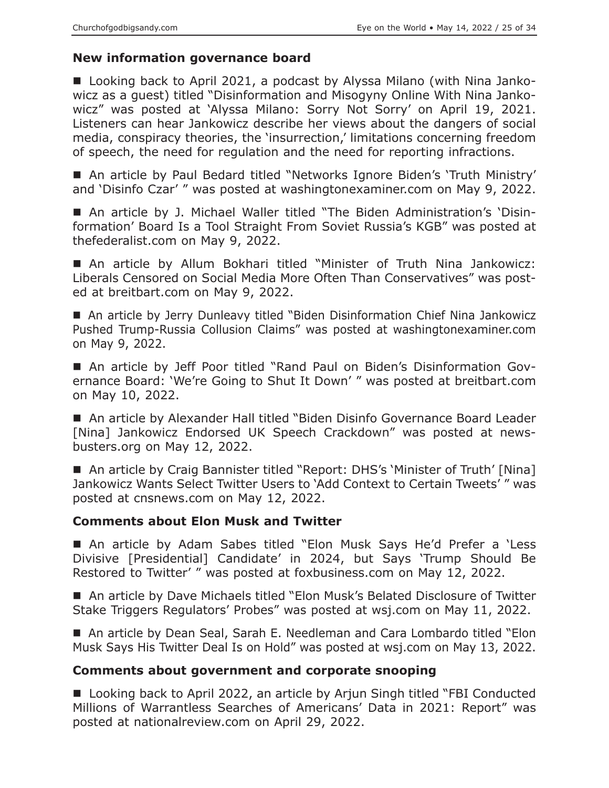# **New information governance board**

■ Looking back to April 2021, a podcast by Alyssa Milano (with Nina Jankowicz as a guest) titled "Disinformation and Misogyny Online With Nina Jankowicz" was posted at 'Alyssa Milano: Sorry Not Sorry' on April 19, 2021. Listeners can hear Jankowicz describe her views about the dangers of social media, conspiracy theories, the 'insurrection,' limitations concerning freedom of speech, the need for regulation and the need for reporting infractions.

■ An article by Paul Bedard titled "Networks Ignore Biden's 'Truth Ministry' and 'Disinfo Czar' " was posted at washingtonexaminer.com on May 9, 2022.

 An article by J. Michael Waller titled "The Biden Administration's 'Disinformation' Board Is a Tool Straight From Soviet Russia's KGB" was posted at thefederalist.com on May 9, 2022.

 An article by Allum Bokhari titled "Minister of Truth Nina Jankowicz: Liberals Censored on Social Media More Often Than Conservatives" was posted at breitbart.com on May 9, 2022.

■ An article by Jerry Dunleavy titled "Biden Disinformation Chief Nina Jankowicz Pushed Trump-Russia Collusion Claims" was posted at washingtonexaminer.com on May 9, 2022.

 An article by Jeff Poor titled "Rand Paul on Biden's Disinformation Governance Board: 'We're Going to Shut It Down' " was posted at breitbart.com on May 10, 2022.

■ An article by Alexander Hall titled "Biden Disinfo Governance Board Leader [Nina] Jankowicz Endorsed UK Speech Crackdown" was posted at newsbusters.org on May 12, 2022.

■ An article by Craig Bannister titled "Report: DHS's 'Minister of Truth' [Nina] Jankowicz Wants Select Twitter Users to 'Add Context to Certain Tweets' " was posted at cnsnews.com on May 12, 2022.

# **Comments about Elon Musk and Twitter**

 An article by Adam Sabes titled "Elon Musk Says He'd Prefer a 'Less Divisive [Presidential] Candidate' in 2024, but Says 'Trump Should Be Restored to Twitter' " was posted at foxbusiness.com on May 12, 2022.

■ An article by Dave Michaels titled "Elon Musk's Belated Disclosure of Twitter Stake Triggers Regulators' Probes" was posted at wsj.com on May 11, 2022.

■ An article by Dean Seal, Sarah E. Needleman and Cara Lombardo titled "Elon Musk Says His Twitter Deal Is on Hold" was posted at wsj.com on May 13, 2022.

## **Comments about government and corporate snooping**

■ Looking back to April 2022, an article by Arjun Singh titled "FBI Conducted Millions of Warrantless Searches of Americans' Data in 2021: Report" was posted at nationalreview.com on April 29, 2022.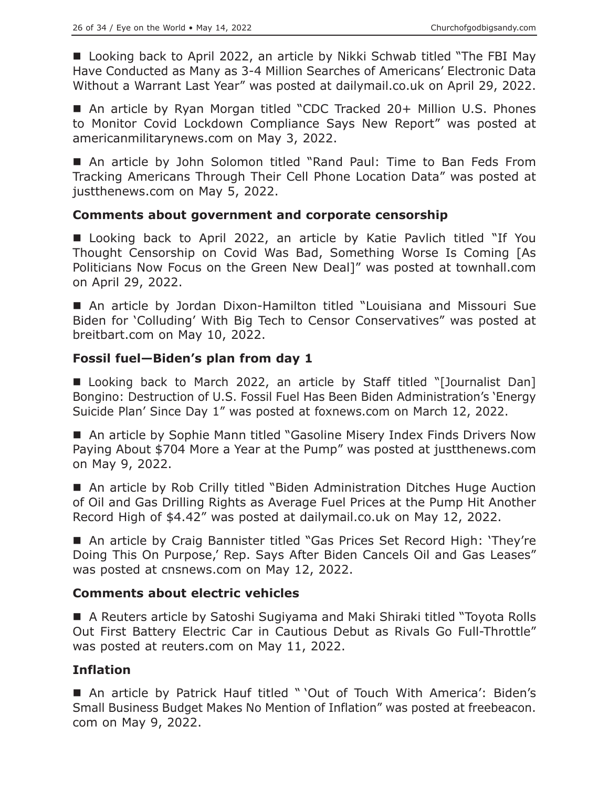■ Looking back to April 2022, an article by Nikki Schwab titled "The FBI May Have Conducted as Many as 3-4 Million Searches of Americans' Electronic Data Without a Warrant Last Year" was posted at dailymail.co.uk on April 29, 2022.

■ An article by Ryan Morgan titled "CDC Tracked 20+ Million U.S. Phones to Monitor Covid Lockdown Compliance Says New Report" was posted at americanmilitarynews.com on May 3, 2022.

 An article by John Solomon titled "Rand Paul: Time to Ban Feds From Tracking Americans Through Their Cell Phone Location Data" was posted at justthenews.com on May 5, 2022.

## **Comments about government and corporate censorship**

■ Looking back to April 2022, an article by Katie Pavlich titled "If You Thought Censorship on Covid Was Bad, Something Worse Is Coming [As Politicians Now Focus on the Green New Deal]" was posted at townhall.com on April 29, 2022.

 An article by Jordan Dixon-Hamilton titled "Louisiana and Missouri Sue Biden for 'Colluding' With Big Tech to Censor Conservatives" was posted at breitbart.com on May 10, 2022.

#### **Fossil fuel—Biden's plan from day 1**

■ Looking back to March 2022, an article by Staff titled "[Journalist Dan] Bongino: Destruction of U.S. Fossil Fuel Has Been Biden Administration's 'Energy Suicide Plan' Since Day 1" was posted at foxnews.com on March 12, 2022.

■ An article by Sophie Mann titled "Gasoline Misery Index Finds Drivers Now Paying About \$704 More a Year at the Pump" was posted at justthenews.com on May 9, 2022.

■ An article by Rob Crilly titled "Biden Administration Ditches Huge Auction of Oil and Gas Drilling Rights as Average Fuel Prices at the Pump Hit Another Record High of \$4.42" was posted at dailymail.co.uk on May 12, 2022.

■ An article by Craig Bannister titled "Gas Prices Set Record High: 'They're Doing This On Purpose,' Rep. Says After Biden Cancels Oil and Gas Leases" was posted at cnsnews.com on May 12, 2022.

## **Comments about electric vehicles**

■ A Reuters article by Satoshi Sugiyama and Maki Shiraki titled "Toyota Rolls Out First Battery Electric Car in Cautious Debut as Rivals Go Full-Throttle" was posted at reuters.com on May 11, 2022.

## **Inflation**

■ An article by Patrick Hauf titled " 'Out of Touch With America': Biden's Small Business Budget Makes No Mention of Inflation" was posted at freebeacon. com on May 9, 2022.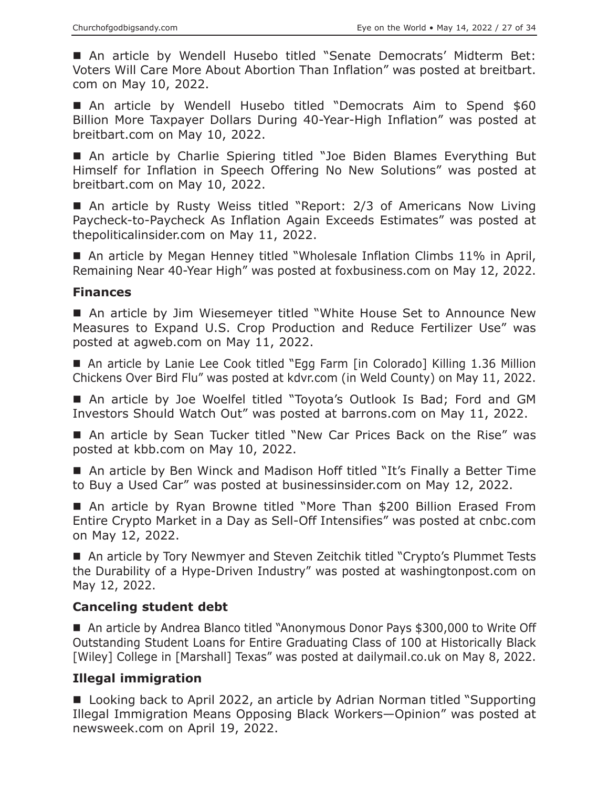An article by Wendell Husebo titled "Senate Democrats' Midterm Bet: Voters Will Care More About Abortion Than Inflation" was posted at breitbart. com on May 10, 2022.

 An article by Wendell Husebo titled "Democrats Aim to Spend \$60 Billion More Taxpayer Dollars During 40-Year-High Inflation" was posted at breitbart.com on May 10, 2022.

 An article by Charlie Spiering titled "Joe Biden Blames Everything But Himself for Inflation in Speech Offering No New Solutions" was posted at breitbart.com on May 10, 2022.

■ An article by Rusty Weiss titled "Report: 2/3 of Americans Now Living Paycheck-to-Paycheck As Inflation Again Exceeds Estimates" was posted at thepoliticalinsider.com on May 11, 2022.

■ An article by Megan Henney titled "Wholesale Inflation Climbs 11% in April, Remaining Near 40-Year High" was posted at foxbusiness.com on May 12, 2022.

## **Finances**

■ An article by Jim Wiesemeyer titled "White House Set to Announce New Measures to Expand U.S. Crop Production and Reduce Fertilizer Use" was posted at agweb.com on May 11, 2022.

 An article by Lanie Lee Cook titled "Egg Farm [in Colorado] Killing 1.36 Million Chickens Over Bird Flu" was posted at kdvr.com (in Weld County) on May 11, 2022.

 An article by Joe Woelfel titled "Toyota's Outlook Is Bad; Ford and GM Investors Should Watch Out" was posted at barrons.com on May 11, 2022.

 An article by Sean Tucker titled "New Car Prices Back on the Rise" was posted at kbb.com on May 10, 2022.

■ An article by Ben Winck and Madison Hoff titled "It's Finally a Better Time to Buy a Used Car" was posted at businessinsider.com on May 12, 2022.

■ An article by Ryan Browne titled "More Than \$200 Billion Erased From Entire Crypto Market in a Day as Sell-Off Intensifies" was posted at cnbc.com on May 12, 2022.

■ An article by Tory Newmyer and Steven Zeitchik titled "Crypto's Plummet Tests the Durability of a Hype-Driven Industry" was posted at washingtonpost.com on May 12, 2022.

## **Canceling student debt**

■ An article by Andrea Blanco titled "Anonymous Donor Pays \$300,000 to Write Off Outstanding Student Loans for Entire Graduating Class of 100 at Historically Black [Wiley] College in [Marshall] Texas" was posted at dailymail.co.uk on May 8, 2022.

# **Illegal immigration**

■ Looking back to April 2022, an article by Adrian Norman titled "Supporting Illegal Immigration Means Opposing Black Workers—Opinion" was posted at newsweek.com on April 19, 2022.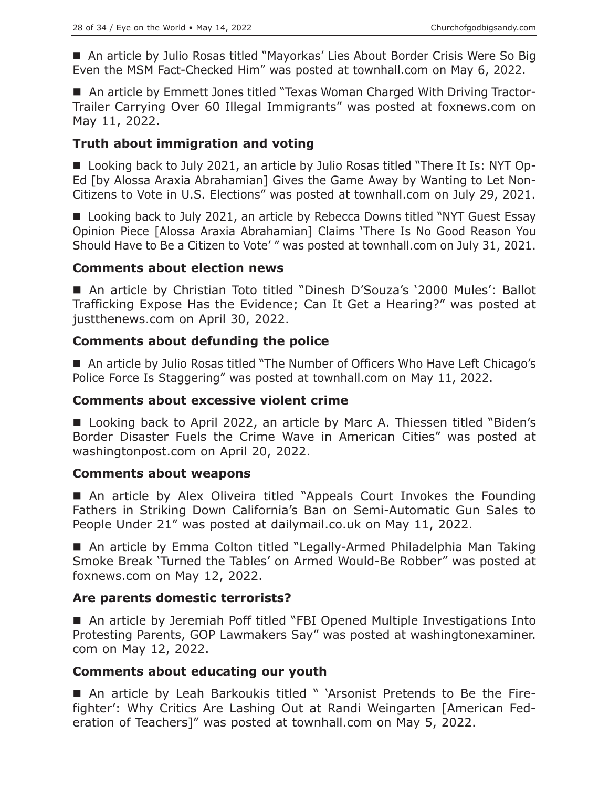■ An article by Julio Rosas titled "Mayorkas' Lies About Border Crisis Were So Big Even the MSM Fact-Checked Him" was posted at townhall.com on May 6, 2022.

■ An article by Emmett Jones titled "Texas Woman Charged With Driving Tractor-Trailer Carrying Over 60 Illegal Immigrants" was posted at foxnews.com on May 11, 2022.

## **Truth about immigration and voting**

■ Looking back to July 2021, an article by Julio Rosas titled "There It Is: NYT Op-Ed [by Alossa Araxia Abrahamian] Gives the Game Away by Wanting to Let Non-Citizens to Vote in U.S. Elections" was posted at townhall.com on July 29, 2021.

■ Looking back to July 2021, an article by Rebecca Downs titled "NYT Guest Essay Opinion Piece [Alossa Araxia Abrahamian] Claims 'There Is No Good Reason You Should Have to Be a Citizen to Vote' " was posted at townhall.com on July 31, 2021.

#### **Comments about election news**

■ An article by Christian Toto titled "Dinesh D'Souza's '2000 Mules': Ballot Trafficking Expose Has the Evidence; Can It Get a Hearing?" was posted at justthenews.com on April 30, 2022.

## **Comments about defunding the police**

■ An article by Julio Rosas titled "The Number of Officers Who Have Left Chicago's Police Force Is Staggering" was posted at townhall.com on May 11, 2022.

## **Comments about excessive violent crime**

■ Looking back to April 2022, an article by Marc A. Thiessen titled "Biden's Border Disaster Fuels the Crime Wave in American Cities" was posted at washingtonpost.com on April 20, 2022.

#### **Comments about weapons**

■ An article by Alex Oliveira titled "Appeals Court Invokes the Founding Fathers in Striking Down California's Ban on Semi-Automatic Gun Sales to People Under 21" was posted at dailymail.co.uk on May 11, 2022.

■ An article by Emma Colton titled "Legally-Armed Philadelphia Man Taking Smoke Break 'Turned the Tables' on Armed Would-Be Robber" was posted at foxnews.com on May 12, 2022.

## **Are parents domestic terrorists?**

■ An article by Jeremiah Poff titled "FBI Opened Multiple Investigations Into Protesting Parents, GOP Lawmakers Say" was posted at washingtonexaminer. com on May 12, 2022.

## **Comments about educating our youth**

 An article by Leah Barkoukis titled " 'Arsonist Pretends to Be the Firefighter': Why Critics Are Lashing Out at Randi Weingarten [American Federation of Teachers]" was posted at townhall.com on May 5, 2022.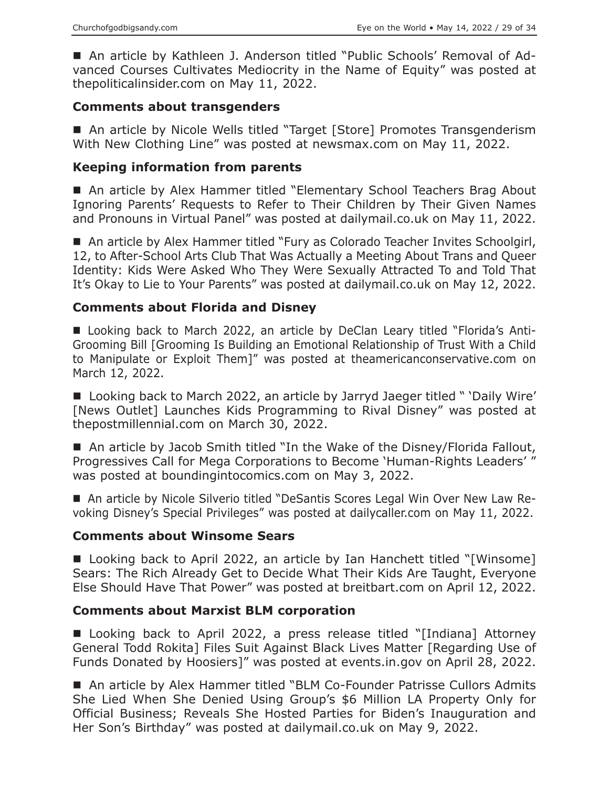An article by Kathleen J. Anderson titled "Public Schools' Removal of Advanced Courses Cultivates Mediocrity in the Name of Equity" was posted at thepoliticalinsider.com on May 11, 2022.

## **Comments about transgenders**

■ An article by Nicole Wells titled "Target [Store] Promotes Transgenderism With New Clothing Line" was posted at newsmax.com on May 11, 2022.

## **Keeping information from parents**

■ An article by Alex Hammer titled "Elementary School Teachers Brag About Ignoring Parents' Requests to Refer to Their Children by Their Given Names and Pronouns in Virtual Panel" was posted at dailymail.co.uk on May 11, 2022.

■ An article by Alex Hammer titled "Fury as Colorado Teacher Invites Schoolgirl, 12, to After-School Arts Club That Was Actually a Meeting About Trans and Queer Identity: Kids Were Asked Who They Were Sexually Attracted To and Told That It's Okay to Lie to Your Parents" was posted at dailymail.co.uk on May 12, 2022.

# **Comments about Florida and Disney**

■ Looking back to March 2022, an article by DeClan Leary titled "Florida's Anti-Grooming Bill [Grooming Is Building an Emotional Relationship of Trust With a Child to Manipulate or Exploit Them]" was posted at theamericanconservative.com on March 12, 2022.

■ Looking back to March 2022, an article by Jarryd Jaeger titled " 'Daily Wire' [News Outlet] Launches Kids Programming to Rival Disney" was posted at thepostmillennial.com on March 30, 2022.

 An article by Jacob Smith titled "In the Wake of the Disney/Florida Fallout, Progressives Call for Mega Corporations to Become 'Human-Rights Leaders' " was posted at boundingintocomics.com on May 3, 2022.

■ An article by Nicole Silverio titled "DeSantis Scores Legal Win Over New Law Revoking Disney's Special Privileges" was posted at dailycaller.com on May 11, 2022.

## **Comments about Winsome Sears**

■ Looking back to April 2022, an article by Ian Hanchett titled "[Winsome] Sears: The Rich Already Get to Decide What Their Kids Are Taught, Everyone Else Should Have That Power" was posted at breitbart.com on April 12, 2022.

## **Comments about Marxist BLM corporation**

■ Looking back to April 2022, a press release titled "[Indiana] Attorney General Todd Rokita] Files Suit Against Black Lives Matter [Regarding Use of Funds Donated by Hoosiers]" was posted at events.in.gov on April 28, 2022.

■ An article by Alex Hammer titled "BLM Co-Founder Patrisse Cullors Admits She Lied When She Denied Using Group's \$6 Million LA Property Only for Official Business; Reveals She Hosted Parties for Biden's Inauguration and Her Son's Birthday" was posted at dailymail.co.uk on May 9, 2022.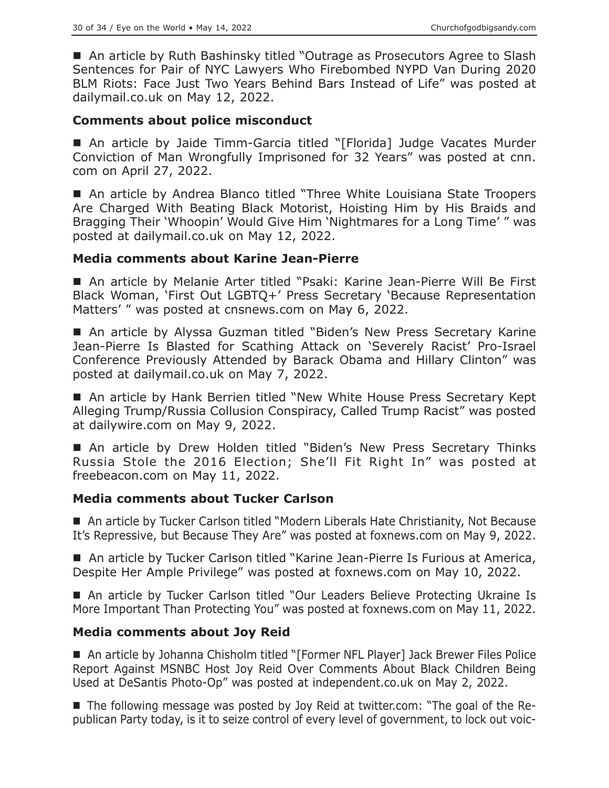■ An article by Ruth Bashinsky titled "Outrage as Prosecutors Agree to Slash Sentences for Pair of NYC Lawyers Who Firebombed NYPD Van During 2020 BLM Riots: Face Just Two Years Behind Bars Instead of Life" was posted at dailymail.co.uk on May 12, 2022.

#### **Comments about police misconduct**

■ An article by Jaide Timm-Garcia titled "[Florida] Judge Vacates Murder Conviction of Man Wrongfully Imprisoned for 32 Years" was posted at cnn. com on April 27, 2022.

■ An article by Andrea Blanco titled "Three White Louisiana State Troopers Are Charged With Beating Black Motorist, Hoisting Him by His Braids and Bragging Their 'Whoopin' Would Give Him 'Nightmares for a Long Time' " was posted at dailymail.co.uk on May 12, 2022.

#### **Media comments about Karine Jean-Pierre**

 An article by Melanie Arter titled "Psaki: Karine Jean-Pierre Will Be First Black Woman, 'First Out LGBTQ+' Press Secretary 'Because Representation Matters' " was posted at cnsnews.com on May 6, 2022.

■ An article by Alyssa Guzman titled "Biden's New Press Secretary Karine Jean-Pierre Is Blasted for Scathing Attack on 'Severely Racist' Pro-Israel Conference Previously Attended by Barack Obama and Hillary Clinton" was posted at dailymail.co.uk on May 7, 2022.

■ An article by Hank Berrien titled "New White House Press Secretary Kept Alleging Trump/Russia Collusion Conspiracy, Called Trump Racist" was posted at dailywire.com on May 9, 2022.

■ An article by Drew Holden titled "Biden's New Press Secretary Thinks Russia Stole the 2016 Election; She'll Fit Right In" was posted at freebeacon.com on May 11, 2022.

#### **Media comments about Tucker Carlson**

■ An article by Tucker Carlson titled "Modern Liberals Hate Christianity, Not Because It's Repressive, but Because They Are" was posted at foxnews.com on May 9, 2022.

■ An article by Tucker Carlson titled "Karine Jean-Pierre Is Furious at America, Despite Her Ample Privilege" was posted at foxnews.com on May 10, 2022.

 An article by Tucker Carlson titled "Our Leaders Believe Protecting Ukraine Is More Important Than Protecting You" was posted at foxnews.com on May 11, 2022.

## **Media comments about Joy Reid**

■ An article by Johanna Chisholm titled "[Former NFL Player] Jack Brewer Files Police Report Against MSNBC Host Joy Reid Over Comments About Black Children Being Used at DeSantis Photo-Op" was posted at independent.co.uk on May 2, 2022.

■ The following message was posted by Joy Reid at twitter.com: "The goal of the Republican Party today, is it to seize control of every level of government, to lock out voic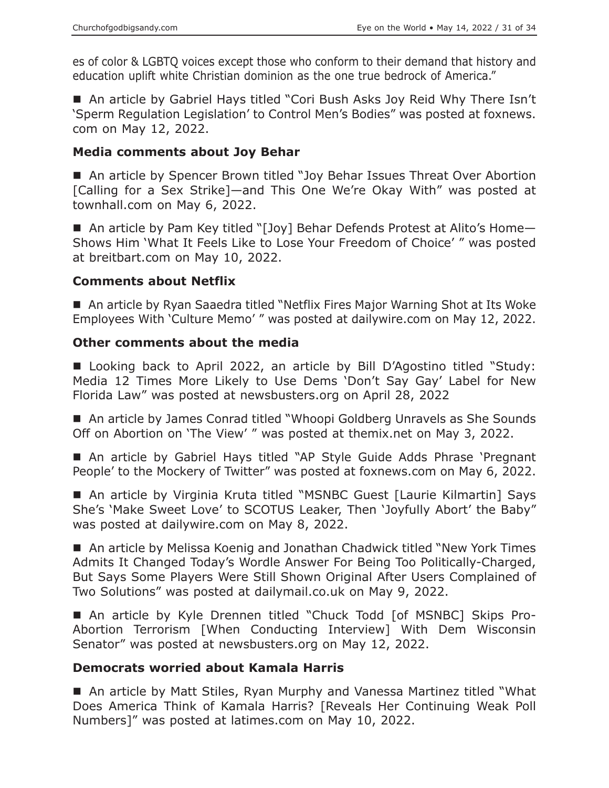es of color & LGBTQ voices except those who conform to their demand that history and education uplift white Christian dominion as the one true bedrock of America."

■ An article by Gabriel Hays titled "Cori Bush Asks Joy Reid Why There Isn't 'Sperm Regulation Legislation' to Control Men's Bodies" was posted at foxnews. com on May 12, 2022.

## **Media comments about Joy Behar**

■ An article by Spencer Brown titled "Joy Behar Issues Threat Over Abortion [Calling for a Sex Strike]—and This One We're Okay With" was posted at townhall.com on May 6, 2022.

■ An article by Pam Key titled "[Joy] Behar Defends Protest at Alito's Home-Shows Him 'What It Feels Like to Lose Your Freedom of Choice' " was posted at breitbart.com on May 10, 2022.

## **Comments about Netflix**

■ An article by Ryan Saaedra titled "Netflix Fires Major Warning Shot at Its Woke Employees With 'Culture Memo' " was posted at dailywire.com on May 12, 2022.

#### **Other comments about the media**

■ Looking back to April 2022, an article by Bill D'Agostino titled "Study: Media 12 Times More Likely to Use Dems 'Don't Say Gay' Label for New Florida Law" was posted at newsbusters.org on April 28, 2022

■ An article by James Conrad titled "Whoopi Goldberg Unravels as She Sounds Off on Abortion on 'The View' " was posted at themix.net on May 3, 2022.

■ An article by Gabriel Hays titled "AP Style Guide Adds Phrase 'Pregnant People' to the Mockery of Twitter" was posted at foxnews.com on May 6, 2022.

■ An article by Virginia Kruta titled "MSNBC Guest [Laurie Kilmartin] Says She's 'Make Sweet Love' to SCOTUS Leaker, Then 'Joyfully Abort' the Baby" was posted at dailywire.com on May 8, 2022.

■ An article by Melissa Koenig and Jonathan Chadwick titled "New York Times Admits It Changed Today's Wordle Answer For Being Too Politically-Charged, But Says Some Players Were Still Shown Original After Users Complained of Two Solutions" was posted at dailymail.co.uk on May 9, 2022.

 An article by Kyle Drennen titled "Chuck Todd [of MSNBC] Skips Pro-Abortion Terrorism [When Conducting Interview] With Dem Wisconsin Senator" was posted at newsbusters.org on May 12, 2022.

## **Democrats worried about Kamala Harris**

■ An article by Matt Stiles, Ryan Murphy and Vanessa Martinez titled "What Does America Think of Kamala Harris? [Reveals Her Continuing Weak Poll Numbers]" was posted at latimes.com on May 10, 2022.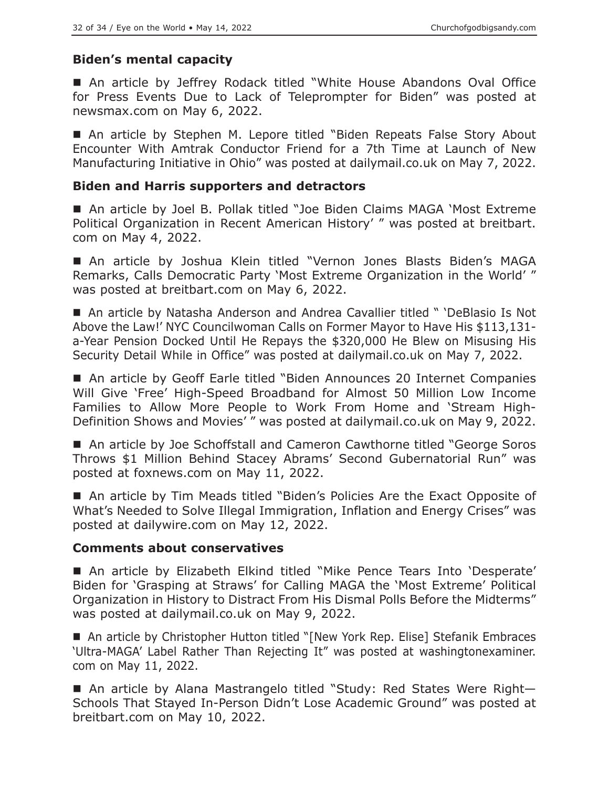# **Biden's mental capacity**

 An article by Jeffrey Rodack titled "White House Abandons Oval Office for Press Events Due to Lack of Teleprompter for Biden" was posted at newsmax.com on May 6, 2022.

■ An article by Stephen M. Lepore titled "Biden Repeats False Story About Encounter With Amtrak Conductor Friend for a 7th Time at Launch of New Manufacturing Initiative in Ohio" was posted at dailymail.co.uk on May 7, 2022.

#### **Biden and Harris supporters and detractors**

■ An article by Joel B. Pollak titled "Joe Biden Claims MAGA 'Most Extreme Political Organization in Recent American History' " was posted at breitbart. com on May 4, 2022.

 An article by Joshua Klein titled "Vernon Jones Blasts Biden's MAGA Remarks, Calls Democratic Party 'Most Extreme Organization in the World' " was posted at breitbart.com on May 6, 2022.

 An article by Natasha Anderson and Andrea Cavallier titled " 'DeBlasio Is Not Above the Law!' NYC Councilwoman Calls on Former Mayor to Have His \$113,131 a-Year Pension Docked Until He Repays the \$320,000 He Blew on Misusing His Security Detail While in Office" was posted at dailymail.co.uk on May 7, 2022.

■ An article by Geoff Earle titled "Biden Announces 20 Internet Companies Will Give 'Free' High-Speed Broadband for Almost 50 Million Low Income Families to Allow More People to Work From Home and 'Stream High-Definition Shows and Movies' " was posted at dailymail.co.uk on May 9, 2022.

■ An article by Joe Schoffstall and Cameron Cawthorne titled "George Soros Throws \$1 Million Behind Stacey Abrams' Second Gubernatorial Run" was posted at foxnews.com on May 11, 2022.

■ An article by Tim Meads titled "Biden's Policies Are the Exact Opposite of What's Needed to Solve Illegal Immigration, Inflation and Energy Crises" was posted at dailywire.com on May 12, 2022.

## **Comments about conservatives**

 An article by Elizabeth Elkind titled "Mike Pence Tears Into 'Desperate' Biden for 'Grasping at Straws' for Calling MAGA the 'Most Extreme' Political Organization in History to Distract From His Dismal Polls Before the Midterms" was posted at dailymail.co.uk on May 9, 2022.

■ An article by Christopher Hutton titled "[New York Rep. Elise] Stefanik Embraces 'Ultra-MAGA' Label Rather Than Rejecting It" was posted at washingtonexaminer. com on May 11, 2022.

■ An article by Alana Mastrangelo titled "Study: Red States Were Right-Schools That Stayed In-Person Didn't Lose Academic Ground" was posted at breitbart.com on May 10, 2022.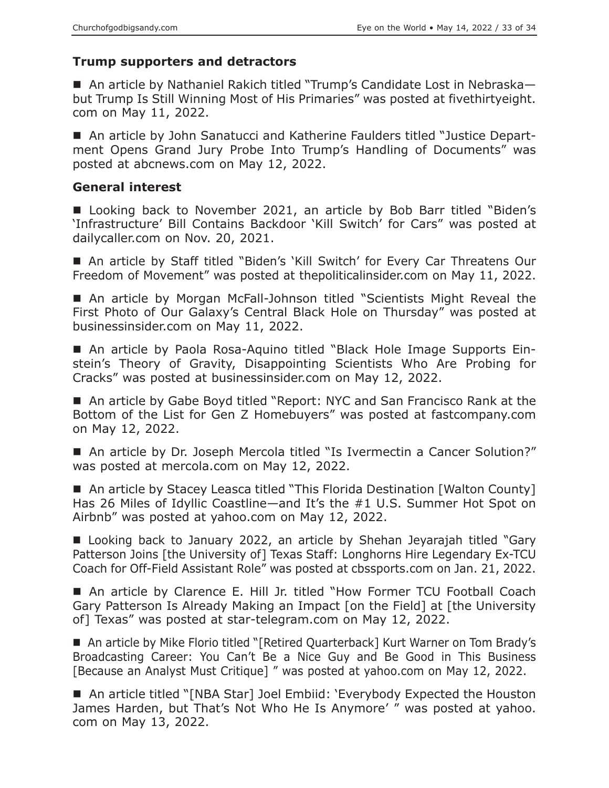# **Trump supporters and detractors**

■ An article by Nathaniel Rakich titled "Trump's Candidate Lost in Nebraskabut Trump Is Still Winning Most of His Primaries" was posted at fivethirtyeight. com on May 11, 2022.

 An article by John Sanatucci and Katherine Faulders titled "Justice Department Opens Grand Jury Probe Into Trump's Handling of Documents" was posted at abcnews.com on May 12, 2022.

#### **General interest**

■ Looking back to November 2021, an article by Bob Barr titled "Biden's 'Infrastructure' Bill Contains Backdoor 'Kill Switch' for Cars" was posted at dailycaller.com on Nov. 20, 2021.

■ An article by Staff titled "Biden's 'Kill Switch' for Every Car Threatens Our Freedom of Movement" was posted at thepoliticalinsider.com on May 11, 2022.

 An article by Morgan McFall-Johnson titled "Scientists Might Reveal the First Photo of Our Galaxy's Central Black Hole on Thursday" was posted at businessinsider.com on May 11, 2022.

 An article by Paola Rosa-Aquino titled "Black Hole Image Supports Einstein's Theory of Gravity, Disappointing Scientists Who Are Probing for Cracks" was posted at businessinsider.com on May 12, 2022.

■ An article by Gabe Boyd titled "Report: NYC and San Francisco Rank at the Bottom of the List for Gen Z Homebuyers" was posted at fastcompany.com on May 12, 2022.

■ An article by Dr. Joseph Mercola titled "Is Ivermectin a Cancer Solution?" was posted at mercola.com on May 12, 2022.

 An article by Stacey Leasca titled "This Florida Destination [Walton County] Has 26 Miles of Idyllic Coastline—and It's the #1 U.S. Summer Hot Spot on Airbnb" was posted at yahoo.com on May 12, 2022.

■ Looking back to January 2022, an article by Shehan Jeyarajah titled "Gary Patterson Joins [the University of] Texas Staff: Longhorns Hire Legendary Ex-TCU Coach for Off-Field Assistant Role" was posted at cbssports.com on Jan. 21, 2022.

■ An article by Clarence E. Hill Jr. titled "How Former TCU Football Coach Gary Patterson Is Already Making an Impact [on the Field] at [the University of] Texas" was posted at star-telegram.com on May 12, 2022.

■ An article by Mike Florio titled "[Retired Quarterback] Kurt Warner on Tom Brady's Broadcasting Career: You Can't Be a Nice Guy and Be Good in This Business [Because an Analyst Must Critique] " was posted at yahoo.com on May 12, 2022.

■ An article titled "[NBA Star] Joel Embiid: 'Everybody Expected the Houston James Harden, but That's Not Who He Is Anymore' " was posted at yahoo. com on May 13, 2022.